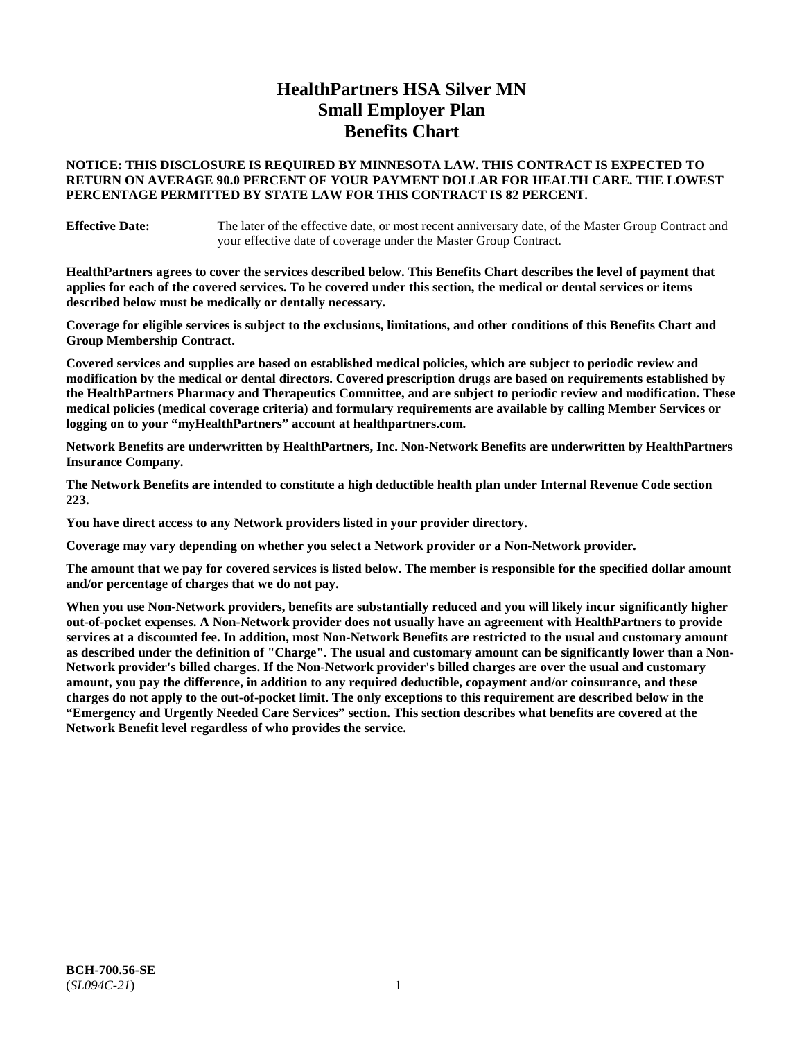# **HealthPartners HSA Silver MN Small Employer Plan Benefits Chart**

## **NOTICE: THIS DISCLOSURE IS REQUIRED BY MINNESOTA LAW. THIS CONTRACT IS EXPECTED TO RETURN ON AVERAGE 90.0 PERCENT OF YOUR PAYMENT DOLLAR FOR HEALTH CARE. THE LOWEST PERCENTAGE PERMITTED BY STATE LAW FOR THIS CONTRACT IS 82 PERCENT.**

**Effective Date:** The later of the effective date, or most recent anniversary date, of the Master Group Contract and your effective date of coverage under the Master Group Contract.

**HealthPartners agrees to cover the services described below. This Benefits Chart describes the level of payment that applies for each of the covered services. To be covered under this section, the medical or dental services or items described below must be medically or dentally necessary.**

**Coverage for eligible services is subject to the exclusions, limitations, and other conditions of this Benefits Chart and Group Membership Contract.**

**Covered services and supplies are based on established medical policies, which are subject to periodic review and modification by the medical or dental directors. Covered prescription drugs are based on requirements established by the HealthPartners Pharmacy and Therapeutics Committee, and are subject to periodic review and modification. These medical policies (medical coverage criteria) and formulary requirements are available by calling Member Services or logging on to your "myHealthPartners" account at [healthpartners.com.](https://www.healthpartners.com/hp/index.html)**

**Network Benefits are underwritten by HealthPartners, Inc. Non-Network Benefits are underwritten by HealthPartners Insurance Company.** 

**The Network Benefits are intended to constitute a high deductible health plan under Internal Revenue Code section 223.** 

**You have direct access to any Network providers listed in your provider directory.**

**Coverage may vary depending on whether you select a Network provider or a Non-Network provider.**

**The amount that we pay for covered services is listed below. The member is responsible for the specified dollar amount and/or percentage of charges that we do not pay.**

**When you use Non-Network providers, benefits are substantially reduced and you will likely incur significantly higher out-of-pocket expenses. A Non-Network provider does not usually have an agreement with HealthPartners to provide services at a discounted fee. In addition, most Non-Network Benefits are restricted to the usual and customary amount as described under the definition of "Charge". The usual and customary amount can be significantly lower than a Non-Network provider's billed charges. If the Non-Network provider's billed charges are over the usual and customary amount, you pay the difference, in addition to any required deductible, copayment and/or coinsurance, and these charges do not apply to the out-of-pocket limit. The only exceptions to this requirement are described below in the "Emergency and Urgently Needed Care Services" section. This section describes what benefits are covered at the Network Benefit level regardless of who provides the service.**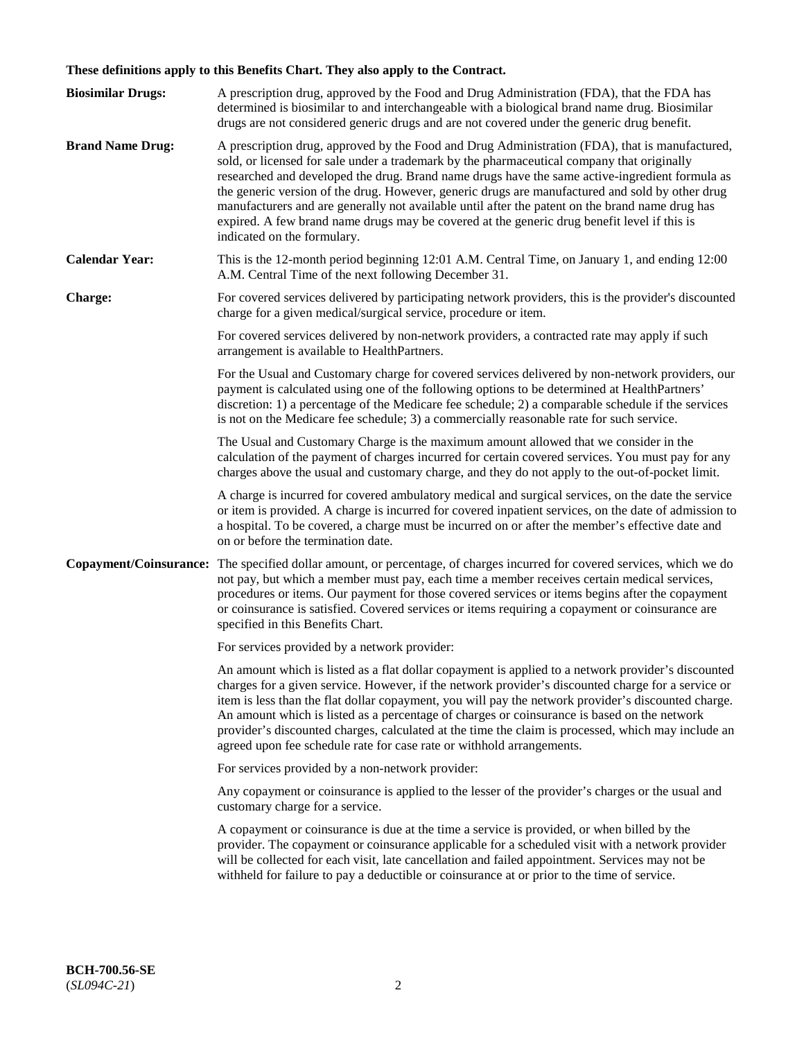# **These definitions apply to this Benefits Chart. They also apply to the Contract.**

| <b>Biosimilar Drugs:</b> | A prescription drug, approved by the Food and Drug Administration (FDA), that the FDA has<br>determined is biosimilar to and interchangeable with a biological brand name drug. Biosimilar<br>drugs are not considered generic drugs and are not covered under the generic drug benefit.                                                                                                                                                                                                                                                                                                                                           |
|--------------------------|------------------------------------------------------------------------------------------------------------------------------------------------------------------------------------------------------------------------------------------------------------------------------------------------------------------------------------------------------------------------------------------------------------------------------------------------------------------------------------------------------------------------------------------------------------------------------------------------------------------------------------|
| <b>Brand Name Drug:</b>  | A prescription drug, approved by the Food and Drug Administration (FDA), that is manufactured,<br>sold, or licensed for sale under a trademark by the pharmaceutical company that originally<br>researched and developed the drug. Brand name drugs have the same active-ingredient formula as<br>the generic version of the drug. However, generic drugs are manufactured and sold by other drug<br>manufacturers and are generally not available until after the patent on the brand name drug has<br>expired. A few brand name drugs may be covered at the generic drug benefit level if this is<br>indicated on the formulary. |
| <b>Calendar Year:</b>    | This is the 12-month period beginning 12:01 A.M. Central Time, on January 1, and ending 12:00<br>A.M. Central Time of the next following December 31.                                                                                                                                                                                                                                                                                                                                                                                                                                                                              |
| <b>Charge:</b>           | For covered services delivered by participating network providers, this is the provider's discounted<br>charge for a given medical/surgical service, procedure or item.                                                                                                                                                                                                                                                                                                                                                                                                                                                            |
|                          | For covered services delivered by non-network providers, a contracted rate may apply if such<br>arrangement is available to HealthPartners.                                                                                                                                                                                                                                                                                                                                                                                                                                                                                        |
|                          | For the Usual and Customary charge for covered services delivered by non-network providers, our<br>payment is calculated using one of the following options to be determined at HealthPartners'<br>discretion: 1) a percentage of the Medicare fee schedule; 2) a comparable schedule if the services<br>is not on the Medicare fee schedule; 3) a commercially reasonable rate for such service.                                                                                                                                                                                                                                  |
|                          | The Usual and Customary Charge is the maximum amount allowed that we consider in the<br>calculation of the payment of charges incurred for certain covered services. You must pay for any<br>charges above the usual and customary charge, and they do not apply to the out-of-pocket limit.                                                                                                                                                                                                                                                                                                                                       |
|                          | A charge is incurred for covered ambulatory medical and surgical services, on the date the service<br>or item is provided. A charge is incurred for covered inpatient services, on the date of admission to<br>a hospital. To be covered, a charge must be incurred on or after the member's effective date and<br>on or before the termination date.                                                                                                                                                                                                                                                                              |
| Copayment/Coinsurance:   | The specified dollar amount, or percentage, of charges incurred for covered services, which we do<br>not pay, but which a member must pay, each time a member receives certain medical services,<br>procedures or items. Our payment for those covered services or items begins after the copayment<br>or coinsurance is satisfied. Covered services or items requiring a copayment or coinsurance are<br>specified in this Benefits Chart.                                                                                                                                                                                        |
|                          | For services provided by a network provider:                                                                                                                                                                                                                                                                                                                                                                                                                                                                                                                                                                                       |
|                          | An amount which is listed as a flat dollar copayment is applied to a network provider's discounted<br>charges for a given service. However, if the network provider's discounted charge for a service or<br>item is less than the flat dollar copayment, you will pay the network provider's discounted charge.<br>An amount which is listed as a percentage of charges or coinsurance is based on the network<br>provider's discounted charges, calculated at the time the claim is processed, which may include an<br>agreed upon fee schedule rate for case rate or withhold arrangements.                                      |
|                          | For services provided by a non-network provider:                                                                                                                                                                                                                                                                                                                                                                                                                                                                                                                                                                                   |
|                          | Any copayment or coinsurance is applied to the lesser of the provider's charges or the usual and<br>customary charge for a service.                                                                                                                                                                                                                                                                                                                                                                                                                                                                                                |
|                          | A copayment or coinsurance is due at the time a service is provided, or when billed by the<br>provider. The copayment or coinsurance applicable for a scheduled visit with a network provider<br>will be collected for each visit, late cancellation and failed appointment. Services may not be<br>withheld for failure to pay a deductible or coinsurance at or prior to the time of service.                                                                                                                                                                                                                                    |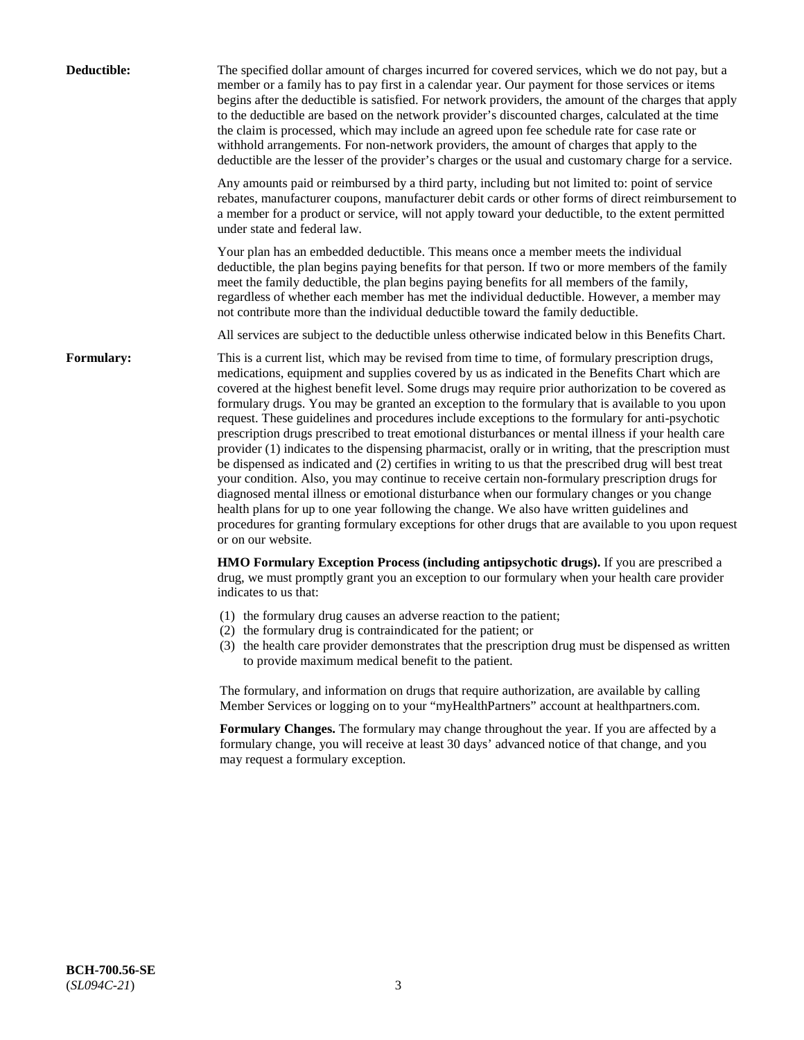| Deductible:       | The specified dollar amount of charges incurred for covered services, which we do not pay, but a<br>member or a family has to pay first in a calendar year. Our payment for those services or items<br>begins after the deductible is satisfied. For network providers, the amount of the charges that apply<br>to the deductible are based on the network provider's discounted charges, calculated at the time<br>the claim is processed, which may include an agreed upon fee schedule rate for case rate or<br>withhold arrangements. For non-network providers, the amount of charges that apply to the<br>deductible are the lesser of the provider's charges or the usual and customary charge for a service.                                                                                                                                                                                                                                                                                                                                                                                                                                                                                                                                             |
|-------------------|------------------------------------------------------------------------------------------------------------------------------------------------------------------------------------------------------------------------------------------------------------------------------------------------------------------------------------------------------------------------------------------------------------------------------------------------------------------------------------------------------------------------------------------------------------------------------------------------------------------------------------------------------------------------------------------------------------------------------------------------------------------------------------------------------------------------------------------------------------------------------------------------------------------------------------------------------------------------------------------------------------------------------------------------------------------------------------------------------------------------------------------------------------------------------------------------------------------------------------------------------------------|
|                   | Any amounts paid or reimbursed by a third party, including but not limited to: point of service<br>rebates, manufacturer coupons, manufacturer debit cards or other forms of direct reimbursement to<br>a member for a product or service, will not apply toward your deductible, to the extent permitted<br>under state and federal law.                                                                                                                                                                                                                                                                                                                                                                                                                                                                                                                                                                                                                                                                                                                                                                                                                                                                                                                        |
|                   | Your plan has an embedded deductible. This means once a member meets the individual<br>deductible, the plan begins paying benefits for that person. If two or more members of the family<br>meet the family deductible, the plan begins paying benefits for all members of the family,<br>regardless of whether each member has met the individual deductible. However, a member may<br>not contribute more than the individual deductible toward the family deductible.                                                                                                                                                                                                                                                                                                                                                                                                                                                                                                                                                                                                                                                                                                                                                                                         |
|                   | All services are subject to the deductible unless otherwise indicated below in this Benefits Chart.                                                                                                                                                                                                                                                                                                                                                                                                                                                                                                                                                                                                                                                                                                                                                                                                                                                                                                                                                                                                                                                                                                                                                              |
| <b>Formulary:</b> | This is a current list, which may be revised from time to time, of formulary prescription drugs,<br>medications, equipment and supplies covered by us as indicated in the Benefits Chart which are<br>covered at the highest benefit level. Some drugs may require prior authorization to be covered as<br>formulary drugs. You may be granted an exception to the formulary that is available to you upon<br>request. These guidelines and procedures include exceptions to the formulary for anti-psychotic<br>prescription drugs prescribed to treat emotional disturbances or mental illness if your health care<br>provider (1) indicates to the dispensing pharmacist, orally or in writing, that the prescription must<br>be dispensed as indicated and (2) certifies in writing to us that the prescribed drug will best treat<br>your condition. Also, you may continue to receive certain non-formulary prescription drugs for<br>diagnosed mental illness or emotional disturbance when our formulary changes or you change<br>health plans for up to one year following the change. We also have written guidelines and<br>procedures for granting formulary exceptions for other drugs that are available to you upon request<br>or on our website. |
|                   | HMO Formulary Exception Process (including antipsychotic drugs). If you are prescribed a<br>drug, we must promptly grant you an exception to our formulary when your health care provider<br>indicates to us that:                                                                                                                                                                                                                                                                                                                                                                                                                                                                                                                                                                                                                                                                                                                                                                                                                                                                                                                                                                                                                                               |
|                   | (1) the formulary drug causes an adverse reaction to the patient;<br>(2) the formulary drug is contraindicated for the patient; or<br>(3) the health care provider demonstrates that the prescription drug must be dispensed as written<br>to provide maximum medical benefit to the patient.                                                                                                                                                                                                                                                                                                                                                                                                                                                                                                                                                                                                                                                                                                                                                                                                                                                                                                                                                                    |
|                   | The formulary, and information on drugs that require authorization, are available by calling<br>Member Services or logging on to your "myHealthPartners" account at healthpartners.com.                                                                                                                                                                                                                                                                                                                                                                                                                                                                                                                                                                                                                                                                                                                                                                                                                                                                                                                                                                                                                                                                          |
|                   | Formulary Changes. The formulary may change throughout the year. If you are affected by a<br>formulary change, you will receive at least 30 days' advanced notice of that change, and you<br>may request a formulary exception.                                                                                                                                                                                                                                                                                                                                                                                                                                                                                                                                                                                                                                                                                                                                                                                                                                                                                                                                                                                                                                  |
|                   |                                                                                                                                                                                                                                                                                                                                                                                                                                                                                                                                                                                                                                                                                                                                                                                                                                                                                                                                                                                                                                                                                                                                                                                                                                                                  |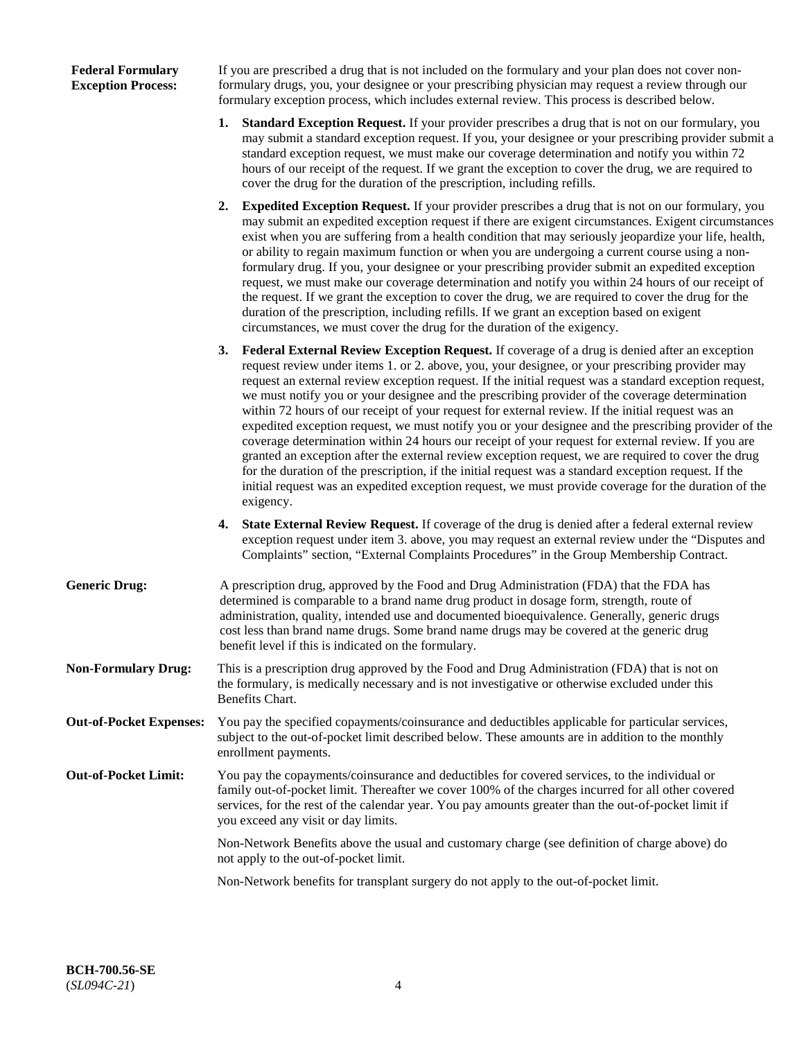## **Federal Formulary Exception Process:**

If you are prescribed a drug that is not included on the formulary and your plan does not cover nonformulary drugs, you, your designee or your prescribing physician may request a review through our formulary exception process, which includes external review. This process is described below.

- **1. Standard Exception Request.** If your provider prescribes a drug that is not on our formulary, you may submit a standard exception request. If you, your designee or your prescribing provider submit a standard exception request, we must make our coverage determination and notify you within 72 hours of our receipt of the request. If we grant the exception to cover the drug, we are required to cover the drug for the duration of the prescription, including refills.
- **2. Expedited Exception Request.** If your provider prescribes a drug that is not on our formulary, you may submit an expedited exception request if there are exigent circumstances. Exigent circumstances exist when you are suffering from a health condition that may seriously jeopardize your life, health, or ability to regain maximum function or when you are undergoing a current course using a nonformulary drug. If you, your designee or your prescribing provider submit an expedited exception request, we must make our coverage determination and notify you within 24 hours of our receipt of the request. If we grant the exception to cover the drug, we are required to cover the drug for the duration of the prescription, including refills. If we grant an exception based on exigent circumstances, we must cover the drug for the duration of the exigency.
- **3. Federal External Review Exception Request.** If coverage of a drug is denied after an exception request review under items 1. or 2. above, you, your designee, or your prescribing provider may request an external review exception request. If the initial request was a standard exception request, we must notify you or your designee and the prescribing provider of the coverage determination within 72 hours of our receipt of your request for external review. If the initial request was an expedited exception request, we must notify you or your designee and the prescribing provider of the coverage determination within 24 hours our receipt of your request for external review. If you are granted an exception after the external review exception request, we are required to cover the drug for the duration of the prescription, if the initial request was a standard exception request. If the initial request was an expedited exception request, we must provide coverage for the duration of the exigency.
- **4. State External Review Request.** If coverage of the drug is denied after a federal external review exception request under item 3. above, you may request an external review under the "Disputes and Complaints" section, "External Complaints Procedures" in the Group Membership Contract.
- **Generic Drug:** A prescription drug, approved by the Food and Drug Administration (FDA) that the FDA has determined is comparable to a brand name drug product in dosage form, strength, route of administration, quality, intended use and documented bioequivalence. Generally, generic drugs cost less than brand name drugs. Some brand name drugs may be covered at the generic drug benefit level if this is indicated on the formulary.
- **Non-Formulary Drug:** This is a prescription drug approved by the Food and Drug Administration (FDA) that is not on the formulary, is medically necessary and is not investigative or otherwise excluded under this Benefits Chart.
- **Out-of-Pocket Expenses:** You pay the specified copayments/coinsurance and deductibles applicable for particular services, subject to the out-of-pocket limit described below. These amounts are in addition to the monthly enrollment payments.
- **Out-of-Pocket Limit:** You pay the copayments/coinsurance and deductibles for covered services, to the individual or family out-of-pocket limit. Thereafter we cover 100% of the charges incurred for all other covered services, for the rest of the calendar year. You pay amounts greater than the out-of-pocket limit if you exceed any visit or day limits.

Non-Network Benefits above the usual and customary charge (see definition of charge above) do not apply to the out-of-pocket limit.

Non-Network benefits for transplant surgery do not apply to the out-of-pocket limit.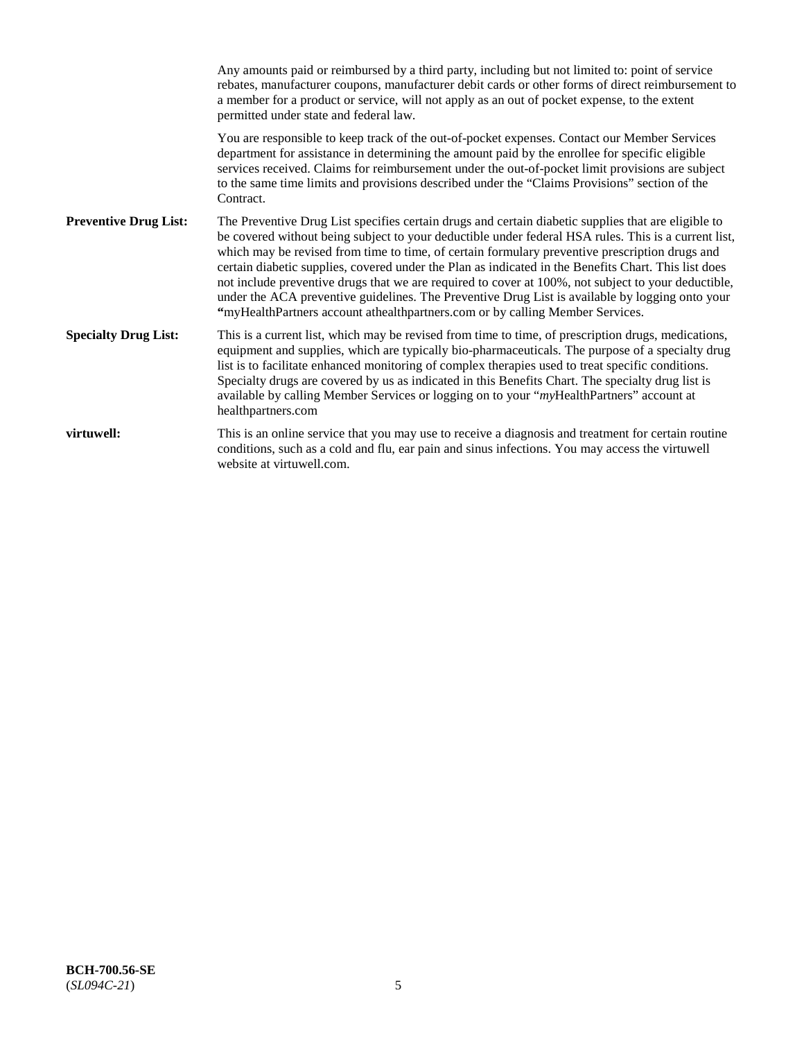|                              | Any amounts paid or reimbursed by a third party, including but not limited to: point of service<br>rebates, manufacturer coupons, manufacturer debit cards or other forms of direct reimbursement to<br>a member for a product or service, will not apply as an out of pocket expense, to the extent<br>permitted under state and federal law.                                                                                                                                                                                                                                                                                                                                                                   |
|------------------------------|------------------------------------------------------------------------------------------------------------------------------------------------------------------------------------------------------------------------------------------------------------------------------------------------------------------------------------------------------------------------------------------------------------------------------------------------------------------------------------------------------------------------------------------------------------------------------------------------------------------------------------------------------------------------------------------------------------------|
|                              | You are responsible to keep track of the out-of-pocket expenses. Contact our Member Services<br>department for assistance in determining the amount paid by the enrollee for specific eligible<br>services received. Claims for reimbursement under the out-of-pocket limit provisions are subject<br>to the same time limits and provisions described under the "Claims Provisions" section of the<br>Contract.                                                                                                                                                                                                                                                                                                 |
| <b>Preventive Drug List:</b> | The Preventive Drug List specifies certain drugs and certain diabetic supplies that are eligible to<br>be covered without being subject to your deductible under federal HSA rules. This is a current list,<br>which may be revised from time to time, of certain formulary preventive prescription drugs and<br>certain diabetic supplies, covered under the Plan as indicated in the Benefits Chart. This list does<br>not include preventive drugs that we are required to cover at 100%, not subject to your deductible,<br>under the ACA preventive guidelines. The Preventive Drug List is available by logging onto your<br>"myHealthPartners account athealthpartners.com or by calling Member Services. |
| <b>Specialty Drug List:</b>  | This is a current list, which may be revised from time to time, of prescription drugs, medications,<br>equipment and supplies, which are typically bio-pharmaceuticals. The purpose of a specialty drug<br>list is to facilitate enhanced monitoring of complex therapies used to treat specific conditions.<br>Specialty drugs are covered by us as indicated in this Benefits Chart. The specialty drug list is<br>available by calling Member Services or logging on to your "myHealthPartners" account at<br>healthpartners.com                                                                                                                                                                              |
| virtuwell:                   | This is an online service that you may use to receive a diagnosis and treatment for certain routine<br>conditions, such as a cold and flu, ear pain and sinus infections. You may access the virtuwell<br>website at virtuwell.com.                                                                                                                                                                                                                                                                                                                                                                                                                                                                              |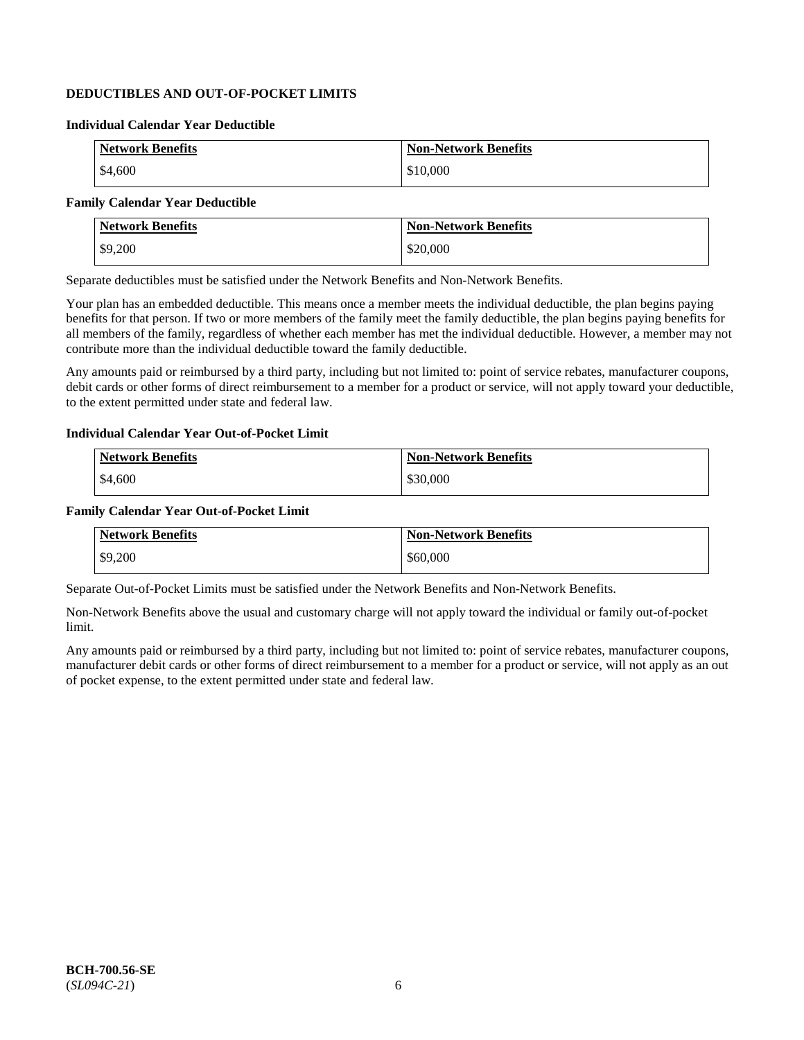## **DEDUCTIBLES AND OUT-OF-POCKET LIMITS**

#### **Individual Calendar Year Deductible**

| <b>Network Benefits</b> | <b>Non-Network Benefits</b> |
|-------------------------|-----------------------------|
| \$4,600                 | \$10,000                    |

## **Family Calendar Year Deductible**

| <b>Network Benefits</b> | <b>Non-Network Benefits</b> |
|-------------------------|-----------------------------|
| \$9,200                 | \$20,000                    |

Separate deductibles must be satisfied under the Network Benefits and Non-Network Benefits.

Your plan has an embedded deductible. This means once a member meets the individual deductible, the plan begins paying benefits for that person. If two or more members of the family meet the family deductible, the plan begins paying benefits for all members of the family, regardless of whether each member has met the individual deductible. However, a member may not contribute more than the individual deductible toward the family deductible.

Any amounts paid or reimbursed by a third party, including but not limited to: point of service rebates, manufacturer coupons, debit cards or other forms of direct reimbursement to a member for a product or service, will not apply toward your deductible, to the extent permitted under state and federal law.

#### **Individual Calendar Year Out-of-Pocket Limit**

| <b>Network Benefits</b> | <b>Non-Network Benefits</b> |
|-------------------------|-----------------------------|
| \$4,600                 | \$30,000                    |

#### **Family Calendar Year Out-of-Pocket Limit**

| <b>Network Benefits</b> | <b>Non-Network Benefits</b> |
|-------------------------|-----------------------------|
| \$9,200                 | \$60,000                    |

Separate Out-of-Pocket Limits must be satisfied under the Network Benefits and Non-Network Benefits.

Non-Network Benefits above the usual and customary charge will not apply toward the individual or family out-of-pocket limit.

Any amounts paid or reimbursed by a third party, including but not limited to: point of service rebates, manufacturer coupons, manufacturer debit cards or other forms of direct reimbursement to a member for a product or service, will not apply as an out of pocket expense, to the extent permitted under state and federal law.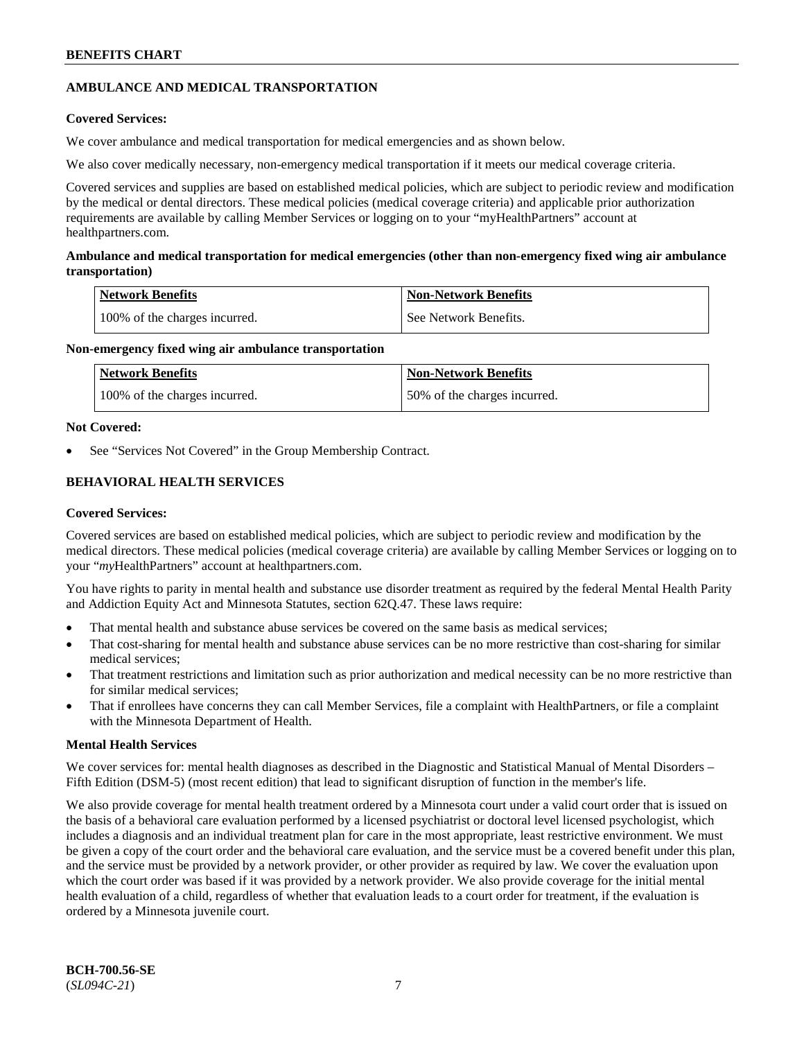## **AMBULANCE AND MEDICAL TRANSPORTATION**

## **Covered Services:**

We cover ambulance and medical transportation for medical emergencies and as shown below.

We also cover medically necessary, non-emergency medical transportation if it meets our medical coverage criteria.

Covered services and supplies are based on established medical policies, which are subject to periodic review and modification by the medical or dental directors. These medical policies (medical coverage criteria) and applicable prior authorization requirements are available by calling Member Services or logging on to your "myHealthPartners" account at [healthpartners.com.](https://www.healthpartners.com/hp/index.html)

## **Ambulance and medical transportation for medical emergencies (other than non-emergency fixed wing air ambulance transportation)**

| Network Benefits              | <b>Non-Network Benefits</b> |
|-------------------------------|-----------------------------|
| 100% of the charges incurred. | See Network Benefits.       |

## **Non-emergency fixed wing air ambulance transportation**

| Network Benefits              | <b>Non-Network Benefits</b>  |
|-------------------------------|------------------------------|
| 100% of the charges incurred. | 50% of the charges incurred. |

## **Not Covered:**

See "Services Not Covered" in the Group Membership Contract.

## **BEHAVIORAL HEALTH SERVICES**

## **Covered Services:**

Covered services are based on established medical policies, which are subject to periodic review and modification by the medical directors. These medical policies (medical coverage criteria) are available by calling Member Services or logging on to your "*my*HealthPartners" account at [healthpartners.com.](http://www.healthpartners.com/)

You have rights to parity in mental health and substance use disorder treatment as required by the federal Mental Health Parity and Addiction Equity Act and Minnesota Statutes, section 62Q.47. These laws require:

- That mental health and substance abuse services be covered on the same basis as medical services;
- That cost-sharing for mental health and substance abuse services can be no more restrictive than cost-sharing for similar medical services;
- That treatment restrictions and limitation such as prior authorization and medical necessity can be no more restrictive than for similar medical services;
- That if enrollees have concerns they can call Member Services, file a complaint with HealthPartners, or file a complaint with the Minnesota Department of Health.

## **Mental Health Services**

We cover services for: mental health diagnoses as described in the Diagnostic and Statistical Manual of Mental Disorders – Fifth Edition (DSM-5) (most recent edition) that lead to significant disruption of function in the member's life.

We also provide coverage for mental health treatment ordered by a Minnesota court under a valid court order that is issued on the basis of a behavioral care evaluation performed by a licensed psychiatrist or doctoral level licensed psychologist, which includes a diagnosis and an individual treatment plan for care in the most appropriate, least restrictive environment. We must be given a copy of the court order and the behavioral care evaluation, and the service must be a covered benefit under this plan, and the service must be provided by a network provider, or other provider as required by law. We cover the evaluation upon which the court order was based if it was provided by a network provider. We also provide coverage for the initial mental health evaluation of a child, regardless of whether that evaluation leads to a court order for treatment, if the evaluation is ordered by a Minnesota juvenile court.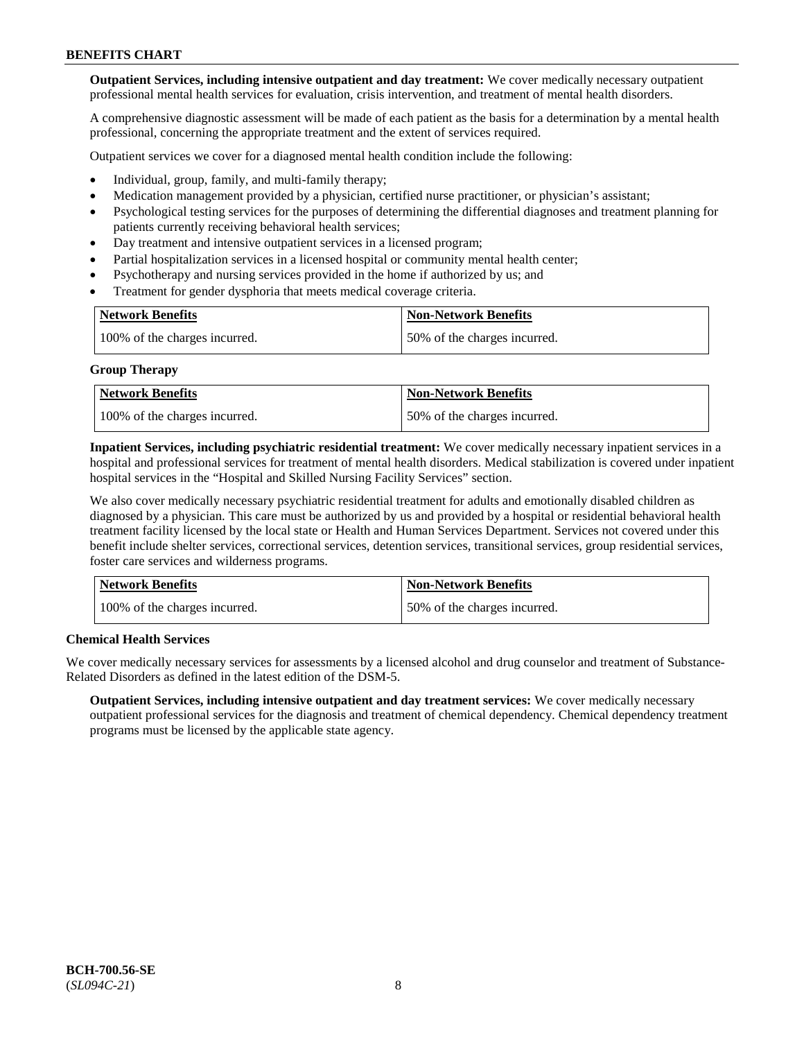**Outpatient Services, including intensive outpatient and day treatment:** We cover medically necessary outpatient professional mental health services for evaluation, crisis intervention, and treatment of mental health disorders.

A comprehensive diagnostic assessment will be made of each patient as the basis for a determination by a mental health professional, concerning the appropriate treatment and the extent of services required.

Outpatient services we cover for a diagnosed mental health condition include the following:

- Individual, group, family, and multi-family therapy;
- Medication management provided by a physician, certified nurse practitioner, or physician's assistant;
- Psychological testing services for the purposes of determining the differential diagnoses and treatment planning for patients currently receiving behavioral health services;
- Day treatment and intensive outpatient services in a licensed program;
- Partial hospitalization services in a licensed hospital or community mental health center;
- Psychotherapy and nursing services provided in the home if authorized by us; and
- Treatment for gender dysphoria that meets medical coverage criteria.

| <b>Network Benefits</b>       | <b>Non-Network Benefits</b>  |
|-------------------------------|------------------------------|
| 100% of the charges incurred. | 50% of the charges incurred. |

#### **Group Therapy**

| Network Benefits              | <b>Non-Network Benefits</b>  |
|-------------------------------|------------------------------|
| 100% of the charges incurred. | 50% of the charges incurred. |

**Inpatient Services, including psychiatric residential treatment:** We cover medically necessary inpatient services in a hospital and professional services for treatment of mental health disorders. Medical stabilization is covered under inpatient hospital services in the "Hospital and Skilled Nursing Facility Services" section.

We also cover medically necessary psychiatric residential treatment for adults and emotionally disabled children as diagnosed by a physician. This care must be authorized by us and provided by a hospital or residential behavioral health treatment facility licensed by the local state or Health and Human Services Department. Services not covered under this benefit include shelter services, correctional services, detention services, transitional services, group residential services, foster care services and wilderness programs.

| Network Benefits              | <b>Non-Network Benefits</b>  |
|-------------------------------|------------------------------|
| 100% of the charges incurred. | 50% of the charges incurred. |

## **Chemical Health Services**

We cover medically necessary services for assessments by a licensed alcohol and drug counselor and treatment of Substance-Related Disorders as defined in the latest edition of the DSM-5.

**Outpatient Services, including intensive outpatient and day treatment services:** We cover medically necessary outpatient professional services for the diagnosis and treatment of chemical dependency. Chemical dependency treatment programs must be licensed by the applicable state agency.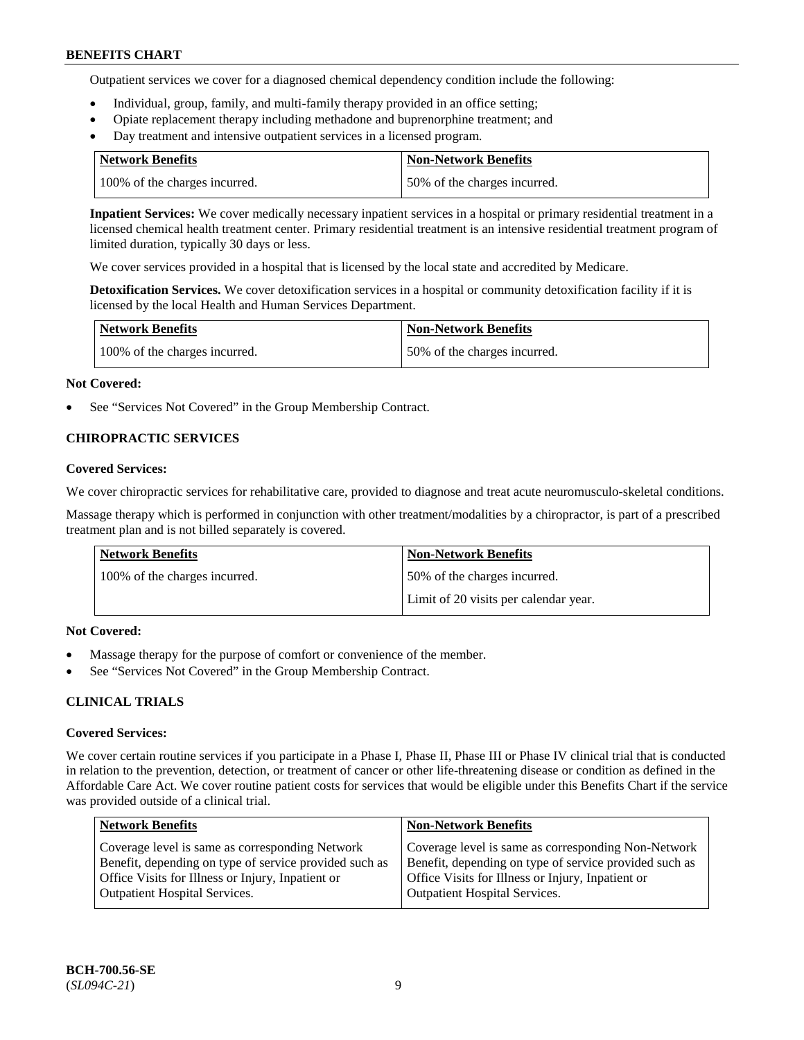Outpatient services we cover for a diagnosed chemical dependency condition include the following:

- Individual, group, family, and multi-family therapy provided in an office setting;
- Opiate replacement therapy including methadone and buprenorphine treatment; and
- Day treatment and intensive outpatient services in a licensed program.

| Network Benefits              | <b>Non-Network Benefits</b>  |
|-------------------------------|------------------------------|
| 100% of the charges incurred. | 50% of the charges incurred. |

**Inpatient Services:** We cover medically necessary inpatient services in a hospital or primary residential treatment in a licensed chemical health treatment center. Primary residential treatment is an intensive residential treatment program of limited duration, typically 30 days or less.

We cover services provided in a hospital that is licensed by the local state and accredited by Medicare.

**Detoxification Services.** We cover detoxification services in a hospital or community detoxification facility if it is licensed by the local Health and Human Services Department.

| <b>Network Benefits</b>       | <b>Non-Network Benefits</b>  |
|-------------------------------|------------------------------|
| 100% of the charges incurred. | 50% of the charges incurred. |

#### **Not Covered:**

See "Services Not Covered" in the Group Membership Contract.

## **CHIROPRACTIC SERVICES**

#### **Covered Services:**

We cover chiropractic services for rehabilitative care, provided to diagnose and treat acute neuromusculo-skeletal conditions.

Massage therapy which is performed in conjunction with other treatment/modalities by a chiropractor, is part of a prescribed treatment plan and is not billed separately is covered.

| Network Benefits              | <b>Non-Network Benefits</b>           |
|-------------------------------|---------------------------------------|
| 100% of the charges incurred. | 50% of the charges incurred.          |
|                               | Limit of 20 visits per calendar year. |

## **Not Covered:**

- Massage therapy for the purpose of comfort or convenience of the member.
- See "Services Not Covered" in the Group Membership Contract.

## **CLINICAL TRIALS**

## **Covered Services:**

We cover certain routine services if you participate in a Phase I, Phase II, Phase III or Phase IV clinical trial that is conducted in relation to the prevention, detection, or treatment of cancer or other life-threatening disease or condition as defined in the Affordable Care Act. We cover routine patient costs for services that would be eligible under this Benefits Chart if the service was provided outside of a clinical trial.

| <b>Network Benefits</b>                                                                                                                                                                                | <b>Non-Network Benefits</b>                                                                                                                                                                                |
|--------------------------------------------------------------------------------------------------------------------------------------------------------------------------------------------------------|------------------------------------------------------------------------------------------------------------------------------------------------------------------------------------------------------------|
| Coverage level is same as corresponding Network<br>Benefit, depending on type of service provided such as<br>Office Visits for Illness or Injury, Inpatient or<br><b>Outpatient Hospital Services.</b> | Coverage level is same as corresponding Non-Network<br>Benefit, depending on type of service provided such as<br>Office Visits for Illness or Injury, Inpatient or<br><b>Outpatient Hospital Services.</b> |
|                                                                                                                                                                                                        |                                                                                                                                                                                                            |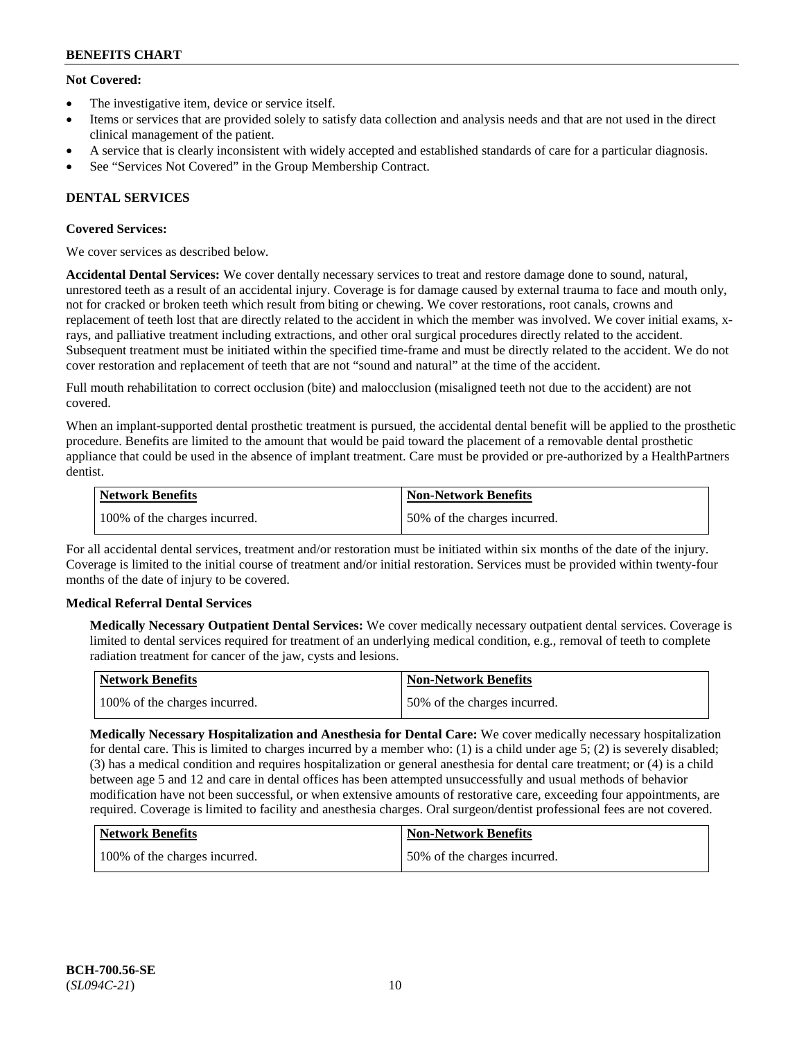## **Not Covered:**

- The investigative item, device or service itself.
- Items or services that are provided solely to satisfy data collection and analysis needs and that are not used in the direct clinical management of the patient.
- A service that is clearly inconsistent with widely accepted and established standards of care for a particular diagnosis.
- See "Services Not Covered" in the Group Membership Contract.

## **DENTAL SERVICES**

## **Covered Services:**

We cover services as described below.

**Accidental Dental Services:** We cover dentally necessary services to treat and restore damage done to sound, natural, unrestored teeth as a result of an accidental injury. Coverage is for damage caused by external trauma to face and mouth only, not for cracked or broken teeth which result from biting or chewing. We cover restorations, root canals, crowns and replacement of teeth lost that are directly related to the accident in which the member was involved. We cover initial exams, xrays, and palliative treatment including extractions, and other oral surgical procedures directly related to the accident. Subsequent treatment must be initiated within the specified time-frame and must be directly related to the accident. We do not cover restoration and replacement of teeth that are not "sound and natural" at the time of the accident.

Full mouth rehabilitation to correct occlusion (bite) and malocclusion (misaligned teeth not due to the accident) are not covered.

When an implant-supported dental prosthetic treatment is pursued, the accidental dental benefit will be applied to the prosthetic procedure. Benefits are limited to the amount that would be paid toward the placement of a removable dental prosthetic appliance that could be used in the absence of implant treatment. Care must be provided or pre-authorized by a HealthPartners dentist.

| Network Benefits              | <b>Non-Network Benefits</b>  |
|-------------------------------|------------------------------|
| 100% of the charges incurred. | 50% of the charges incurred. |

For all accidental dental services, treatment and/or restoration must be initiated within six months of the date of the injury. Coverage is limited to the initial course of treatment and/or initial restoration. Services must be provided within twenty-four months of the date of injury to be covered.

## **Medical Referral Dental Services**

**Medically Necessary Outpatient Dental Services:** We cover medically necessary outpatient dental services. Coverage is limited to dental services required for treatment of an underlying medical condition, e.g., removal of teeth to complete radiation treatment for cancer of the jaw, cysts and lesions.

| Network Benefits              | Non-Network Benefits         |
|-------------------------------|------------------------------|
| 100% of the charges incurred. | 50% of the charges incurred. |

**Medically Necessary Hospitalization and Anesthesia for Dental Care:** We cover medically necessary hospitalization for dental care. This is limited to charges incurred by a member who: (1) is a child under age  $5$ ; (2) is severely disabled; (3) has a medical condition and requires hospitalization or general anesthesia for dental care treatment; or (4) is a child between age 5 and 12 and care in dental offices has been attempted unsuccessfully and usual methods of behavior modification have not been successful, or when extensive amounts of restorative care, exceeding four appointments, are required. Coverage is limited to facility and anesthesia charges. Oral surgeon/dentist professional fees are not covered.

| Network Benefits              | <b>Non-Network Benefits</b>  |
|-------------------------------|------------------------------|
| 100% of the charges incurred. | 50% of the charges incurred. |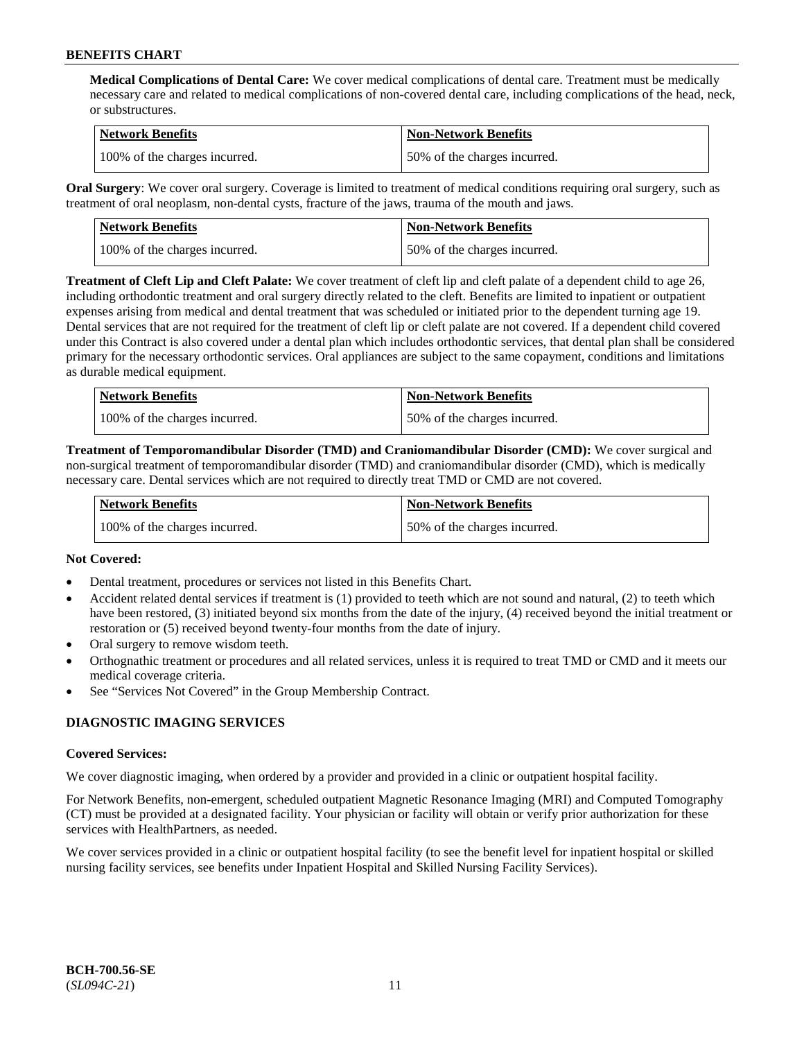**Medical Complications of Dental Care:** We cover medical complications of dental care. Treatment must be medically necessary care and related to medical complications of non-covered dental care, including complications of the head, neck, or substructures.

| Network Benefits              | <b>Non-Network Benefits</b>  |
|-------------------------------|------------------------------|
| 100% of the charges incurred. | 50% of the charges incurred. |

**Oral Surgery**: We cover oral surgery. Coverage is limited to treatment of medical conditions requiring oral surgery, such as treatment of oral neoplasm, non-dental cysts, fracture of the jaws, trauma of the mouth and jaws.

| Network Benefits              | <b>Non-Network Benefits</b>  |
|-------------------------------|------------------------------|
| 100% of the charges incurred. | 50% of the charges incurred. |

**Treatment of Cleft Lip and Cleft Palate:** We cover treatment of cleft lip and cleft palate of a dependent child to age 26, including orthodontic treatment and oral surgery directly related to the cleft. Benefits are limited to inpatient or outpatient expenses arising from medical and dental treatment that was scheduled or initiated prior to the dependent turning age 19. Dental services that are not required for the treatment of cleft lip or cleft palate are not covered. If a dependent child covered under this Contract is also covered under a dental plan which includes orthodontic services, that dental plan shall be considered primary for the necessary orthodontic services. Oral appliances are subject to the same copayment, conditions and limitations as durable medical equipment.

| <b>Network Benefits</b>       | <b>Non-Network Benefits</b>  |
|-------------------------------|------------------------------|
| 100% of the charges incurred. | 50% of the charges incurred. |

**Treatment of Temporomandibular Disorder (TMD) and Craniomandibular Disorder (CMD):** We cover surgical and non-surgical treatment of temporomandibular disorder (TMD) and craniomandibular disorder (CMD), which is medically necessary care. Dental services which are not required to directly treat TMD or CMD are not covered.

| <b>Network Benefits</b>       | <b>Non-Network Benefits</b>  |
|-------------------------------|------------------------------|
| 100% of the charges incurred. | 50% of the charges incurred. |

## **Not Covered:**

- Dental treatment, procedures or services not listed in this Benefits Chart.
- Accident related dental services if treatment is (1) provided to teeth which are not sound and natural, (2) to teeth which have been restored, (3) initiated beyond six months from the date of the injury, (4) received beyond the initial treatment or restoration or (5) received beyond twenty-four months from the date of injury.
- Oral surgery to remove wisdom teeth.
- Orthognathic treatment or procedures and all related services, unless it is required to treat TMD or CMD and it meets our medical coverage criteria.
- See "Services Not Covered" in the Group Membership Contract.

## **DIAGNOSTIC IMAGING SERVICES**

#### **Covered Services:**

We cover diagnostic imaging, when ordered by a provider and provided in a clinic or outpatient hospital facility.

For Network Benefits, non-emergent, scheduled outpatient Magnetic Resonance Imaging (MRI) and Computed Tomography (CT) must be provided at a designated facility. Your physician or facility will obtain or verify prior authorization for these services with HealthPartners, as needed.

We cover services provided in a clinic or outpatient hospital facility (to see the benefit level for inpatient hospital or skilled nursing facility services, see benefits under Inpatient Hospital and Skilled Nursing Facility Services).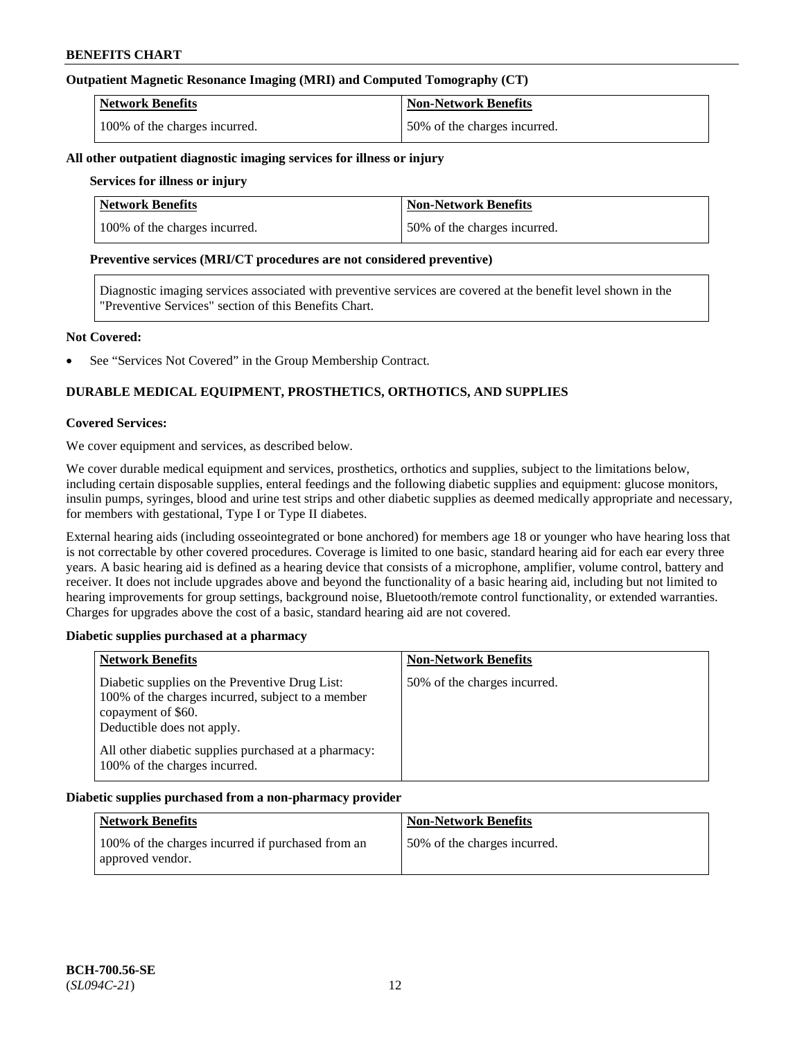## **Outpatient Magnetic Resonance Imaging (MRI) and Computed Tomography (CT)**

| <b>Network Benefits</b>       | <b>Non-Network Benefits</b>  |
|-------------------------------|------------------------------|
| 100% of the charges incurred. | 50% of the charges incurred. |

#### **All other outpatient diagnostic imaging services for illness or injury**

## **Services for illness or injury**

| <b>Network Benefits</b>       | <b>Non-Network Benefits</b>  |
|-------------------------------|------------------------------|
| 100% of the charges incurred. | 50% of the charges incurred. |

#### **Preventive services (MRI/CT procedures are not considered preventive)**

Diagnostic imaging services associated with preventive services are covered at the benefit level shown in the "Preventive Services" section of this Benefits Chart.

#### **Not Covered:**

See "Services Not Covered" in the Group Membership Contract.

## **DURABLE MEDICAL EQUIPMENT, PROSTHETICS, ORTHOTICS, AND SUPPLIES**

#### **Covered Services:**

We cover equipment and services, as described below.

We cover durable medical equipment and services, prosthetics, orthotics and supplies, subject to the limitations below, including certain disposable supplies, enteral feedings and the following diabetic supplies and equipment: glucose monitors, insulin pumps, syringes, blood and urine test strips and other diabetic supplies as deemed medically appropriate and necessary, for members with gestational, Type I or Type II diabetes.

External hearing aids (including osseointegrated or bone anchored) for members age 18 or younger who have hearing loss that is not correctable by other covered procedures. Coverage is limited to one basic, standard hearing aid for each ear every three years. A basic hearing aid is defined as a hearing device that consists of a microphone, amplifier, volume control, battery and receiver. It does not include upgrades above and beyond the functionality of a basic hearing aid, including but not limited to hearing improvements for group settings, background noise, Bluetooth/remote control functionality, or extended warranties. Charges for upgrades above the cost of a basic, standard hearing aid are not covered.

## **Diabetic supplies purchased at a pharmacy**

| <b>Network Benefits</b>                                                                                                                                 | <b>Non-Network Benefits</b>  |
|---------------------------------------------------------------------------------------------------------------------------------------------------------|------------------------------|
| Diabetic supplies on the Preventive Drug List:<br>100% of the charges incurred, subject to a member<br>copayment of \$60.<br>Deductible does not apply. | 50% of the charges incurred. |
| All other diabetic supplies purchased at a pharmacy:<br>100% of the charges incurred.                                                                   |                              |

## **Diabetic supplies purchased from a non-pharmacy provider**

| <b>Network Benefits</b>                                               | <b>Non-Network Benefits</b>  |
|-----------------------------------------------------------------------|------------------------------|
| 100% of the charges incurred if purchased from an<br>approved vendor. | 50% of the charges incurred. |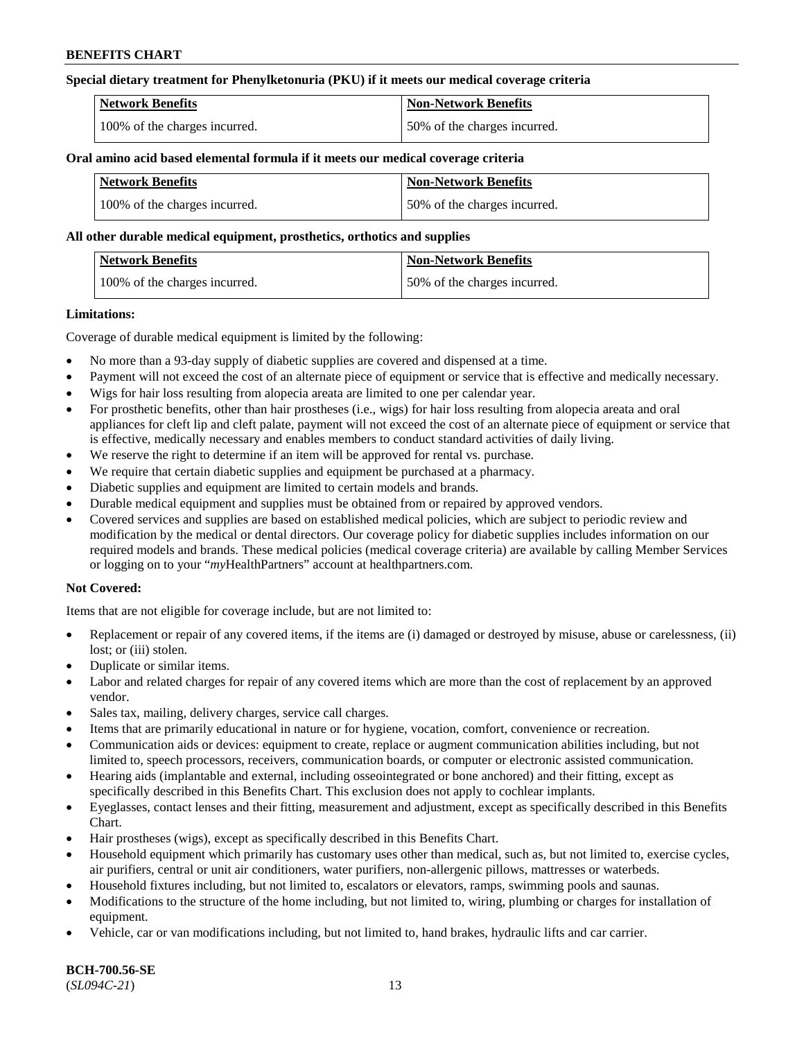### **Special dietary treatment for Phenylketonuria (PKU) if it meets our medical coverage criteria**

| <b>Network Benefits</b>       | <b>Non-Network Benefits</b>  |
|-------------------------------|------------------------------|
| 100% of the charges incurred. | 50% of the charges incurred. |

#### **Oral amino acid based elemental formula if it meets our medical coverage criteria**

| <b>Network Benefits</b>       | Non-Network Benefits         |
|-------------------------------|------------------------------|
| 100% of the charges incurred. | 50% of the charges incurred. |

#### **All other durable medical equipment, prosthetics, orthotics and supplies**

| Network Benefits              | <b>Non-Network Benefits</b>  |
|-------------------------------|------------------------------|
| 100% of the charges incurred. | 50% of the charges incurred. |

#### **Limitations:**

Coverage of durable medical equipment is limited by the following:

- No more than a 93-day supply of diabetic supplies are covered and dispensed at a time.
- Payment will not exceed the cost of an alternate piece of equipment or service that is effective and medically necessary.
- Wigs for hair loss resulting from alopecia areata are limited to one per calendar year.
- For prosthetic benefits, other than hair prostheses (i.e., wigs) for hair loss resulting from alopecia areata and oral appliances for cleft lip and cleft palate, payment will not exceed the cost of an alternate piece of equipment or service that is effective, medically necessary and enables members to conduct standard activities of daily living.
- We reserve the right to determine if an item will be approved for rental vs. purchase.
- We require that certain diabetic supplies and equipment be purchased at a pharmacy.
- Diabetic supplies and equipment are limited to certain models and brands.
- Durable medical equipment and supplies must be obtained from or repaired by approved vendors.
- Covered services and supplies are based on established medical policies, which are subject to periodic review and modification by the medical or dental directors. Our coverage policy for diabetic supplies includes information on our required models and brands. These medical policies (medical coverage criteria) are available by calling Member Services or logging on to your "*my*HealthPartners" account a[t healthpartners.com.](https://www.healthpartners.com/hp/index.html)

## **Not Covered:**

Items that are not eligible for coverage include, but are not limited to:

- Replacement or repair of any covered items, if the items are (i) damaged or destroyed by misuse, abuse or carelessness, (ii) lost; or (iii) stolen.
- Duplicate or similar items.
- Labor and related charges for repair of any covered items which are more than the cost of replacement by an approved vendor.
- Sales tax, mailing, delivery charges, service call charges.
- Items that are primarily educational in nature or for hygiene, vocation, comfort, convenience or recreation.
- Communication aids or devices: equipment to create, replace or augment communication abilities including, but not limited to, speech processors, receivers, communication boards, or computer or electronic assisted communication.
- Hearing aids (implantable and external, including osseointegrated or bone anchored) and their fitting, except as specifically described in this Benefits Chart. This exclusion does not apply to cochlear implants.
- Eyeglasses, contact lenses and their fitting, measurement and adjustment, except as specifically described in this Benefits Chart.
- Hair prostheses (wigs), except as specifically described in this Benefits Chart.
- Household equipment which primarily has customary uses other than medical, such as, but not limited to, exercise cycles, air purifiers, central or unit air conditioners, water purifiers, non-allergenic pillows, mattresses or waterbeds.
- Household fixtures including, but not limited to, escalators or elevators, ramps, swimming pools and saunas.
- Modifications to the structure of the home including, but not limited to, wiring, plumbing or charges for installation of equipment.
- Vehicle, car or van modifications including, but not limited to, hand brakes, hydraulic lifts and car carrier.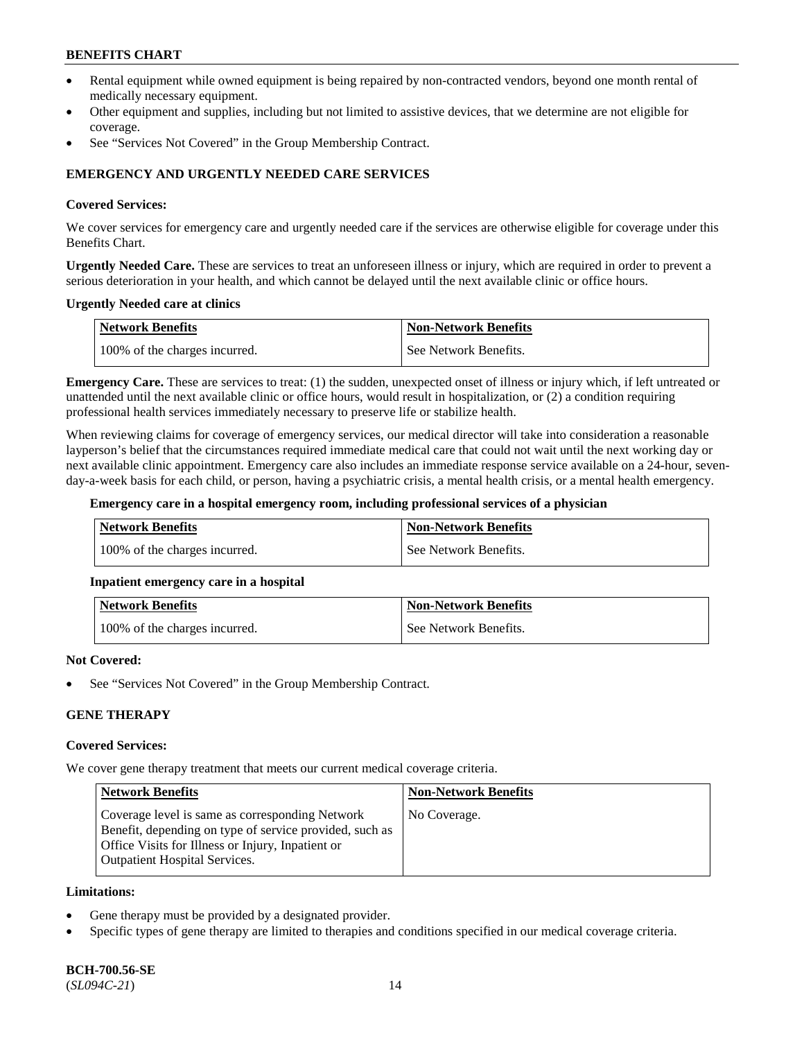- Rental equipment while owned equipment is being repaired by non-contracted vendors, beyond one month rental of medically necessary equipment.
- Other equipment and supplies, including but not limited to assistive devices, that we determine are not eligible for coverage.
- See "Services Not Covered" in the Group Membership Contract.

## **EMERGENCY AND URGENTLY NEEDED CARE SERVICES**

#### **Covered Services:**

We cover services for emergency care and urgently needed care if the services are otherwise eligible for coverage under this Benefits Chart.

**Urgently Needed Care.** These are services to treat an unforeseen illness or injury, which are required in order to prevent a serious deterioration in your health, and which cannot be delayed until the next available clinic or office hours.

#### **Urgently Needed care at clinics**

| <b>Network Benefits</b>       | <b>Non-Network Benefits</b> |
|-------------------------------|-----------------------------|
| 100% of the charges incurred. | See Network Benefits.       |

**Emergency Care.** These are services to treat: (1) the sudden, unexpected onset of illness or injury which, if left untreated or unattended until the next available clinic or office hours, would result in hospitalization, or (2) a condition requiring professional health services immediately necessary to preserve life or stabilize health.

When reviewing claims for coverage of emergency services, our medical director will take into consideration a reasonable layperson's belief that the circumstances required immediate medical care that could not wait until the next working day or next available clinic appointment. Emergency care also includes an immediate response service available on a 24-hour, sevenday-a-week basis for each child, or person, having a psychiatric crisis, a mental health crisis, or a mental health emergency.

#### **Emergency care in a hospital emergency room, including professional services of a physician**

| Network Benefits              | <b>Non-Network Benefits</b> |
|-------------------------------|-----------------------------|
| 100% of the charges incurred. | See Network Benefits.       |

## **Inpatient emergency care in a hospital**

| Network Benefits              | <b>Non-Network Benefits</b> |
|-------------------------------|-----------------------------|
| 100% of the charges incurred. | See Network Benefits.       |

#### **Not Covered:**

See "Services Not Covered" in the Group Membership Contract.

## **GENE THERAPY**

## **Covered Services:**

We cover gene therapy treatment that meets our current medical coverage criteria.

| <b>Network Benefits</b>                                                                                                                                                                                 | <b>Non-Network Benefits</b> |
|---------------------------------------------------------------------------------------------------------------------------------------------------------------------------------------------------------|-----------------------------|
| Coverage level is same as corresponding Network<br>Benefit, depending on type of service provided, such as<br>Office Visits for Illness or Injury, Inpatient or<br><b>Outpatient Hospital Services.</b> | No Coverage.                |

#### **Limitations:**

- Gene therapy must be provided by a designated provider.
- Specific types of gene therapy are limited to therapies and conditions specified in our medical coverage criteria.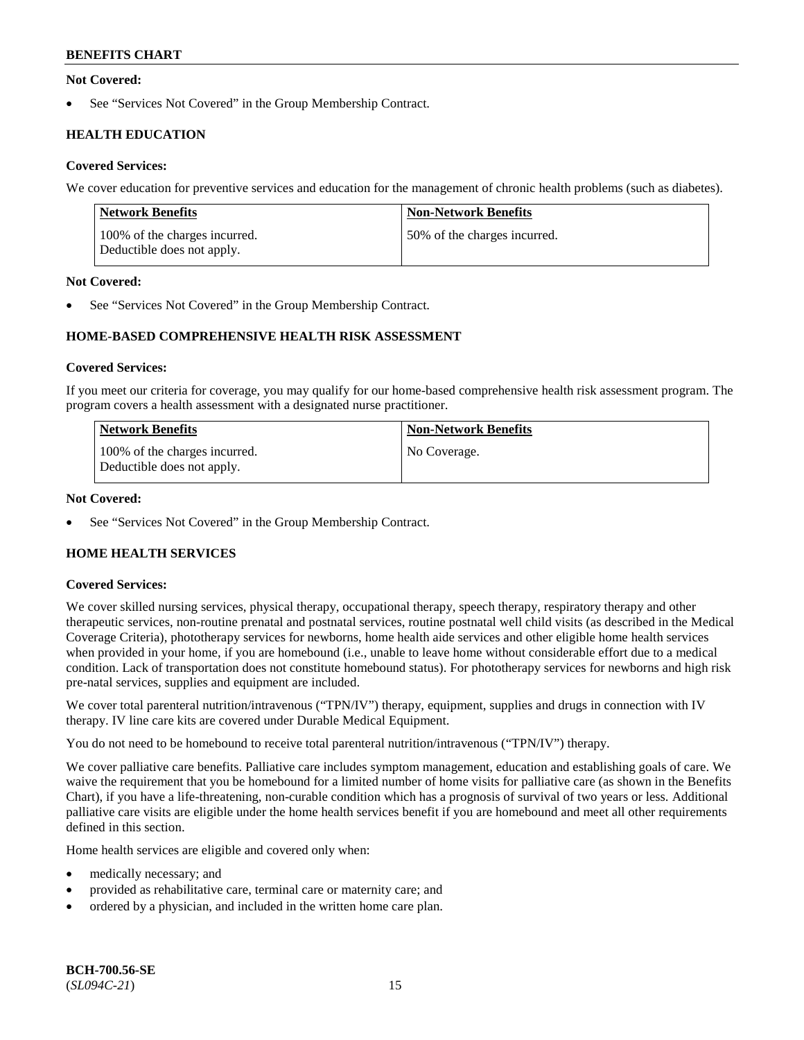## **Not Covered:**

See "Services Not Covered" in the Group Membership Contract.

## **HEALTH EDUCATION**

## **Covered Services:**

We cover education for preventive services and education for the management of chronic health problems (such as diabetes).

| Network Benefits                                            | <b>Non-Network Benefits</b>  |
|-------------------------------------------------------------|------------------------------|
| 100% of the charges incurred.<br>Deductible does not apply. | 50% of the charges incurred. |

## **Not Covered:**

See "Services Not Covered" in the Group Membership Contract.

## **HOME-BASED COMPREHENSIVE HEALTH RISK ASSESSMENT**

#### **Covered Services:**

If you meet our criteria for coverage, you may qualify for our home-based comprehensive health risk assessment program. The program covers a health assessment with a designated nurse practitioner.

| <b>Network Benefits</b>                                     | <b>Non-Network Benefits</b> |
|-------------------------------------------------------------|-----------------------------|
| 100% of the charges incurred.<br>Deductible does not apply. | No Coverage.                |

## **Not Covered:**

See "Services Not Covered" in the Group Membership Contract.

## **HOME HEALTH SERVICES**

## **Covered Services:**

We cover skilled nursing services, physical therapy, occupational therapy, speech therapy, respiratory therapy and other therapeutic services, non-routine prenatal and postnatal services, routine postnatal well child visits (as described in the Medical Coverage Criteria), phototherapy services for newborns, home health aide services and other eligible home health services when provided in your home, if you are homebound (i.e., unable to leave home without considerable effort due to a medical condition. Lack of transportation does not constitute homebound status). For phototherapy services for newborns and high risk pre-natal services, supplies and equipment are included.

We cover total parenteral nutrition/intravenous ("TPN/IV") therapy, equipment, supplies and drugs in connection with IV therapy. IV line care kits are covered under Durable Medical Equipment.

You do not need to be homebound to receive total parenteral nutrition/intravenous ("TPN/IV") therapy.

We cover palliative care benefits. Palliative care includes symptom management, education and establishing goals of care. We waive the requirement that you be homebound for a limited number of home visits for palliative care (as shown in the Benefits Chart), if you have a life-threatening, non-curable condition which has a prognosis of survival of two years or less. Additional palliative care visits are eligible under the home health services benefit if you are homebound and meet all other requirements defined in this section.

Home health services are eligible and covered only when:

- medically necessary; and
- provided as rehabilitative care, terminal care or maternity care; and
- ordered by a physician, and included in the written home care plan.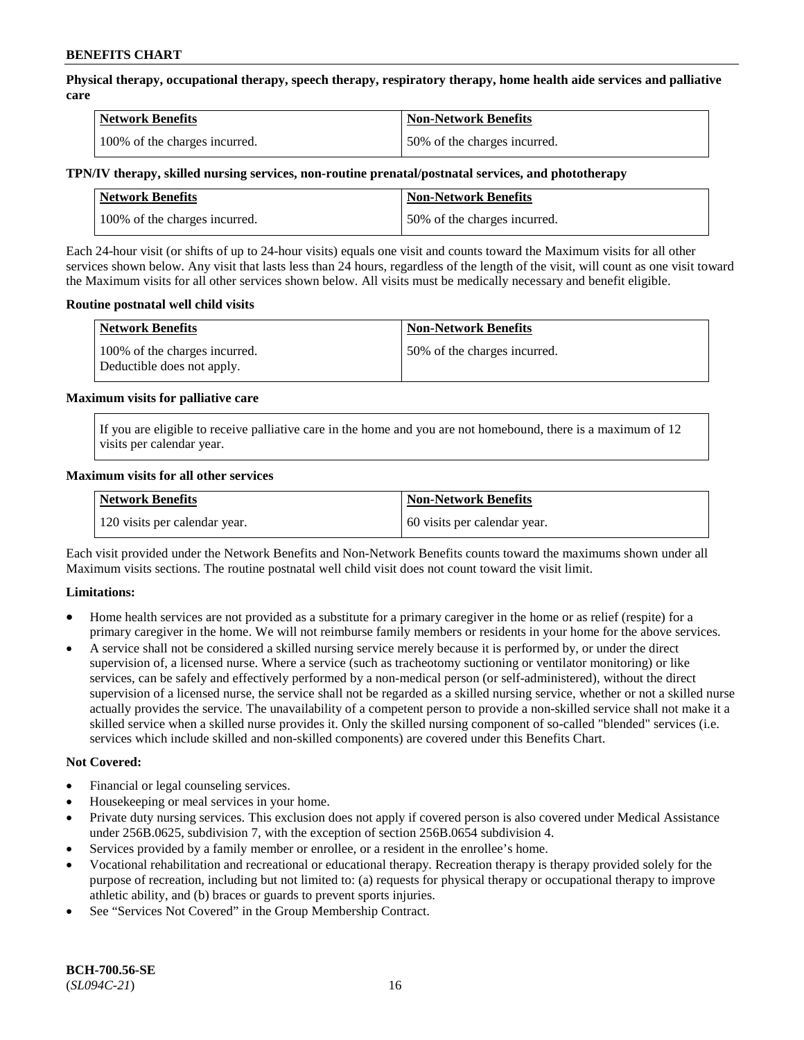**Physical therapy, occupational therapy, speech therapy, respiratory therapy, home health aide services and palliative care**

| <b>Network Benefits</b>       | <b>Non-Network Benefits</b>  |
|-------------------------------|------------------------------|
| 100% of the charges incurred. | 50% of the charges incurred. |

## **TPN/IV therapy, skilled nursing services, non-routine prenatal/postnatal services, and phototherapy**

| <b>Network Benefits</b>       | <b>Non-Network Benefits</b>  |
|-------------------------------|------------------------------|
| 100% of the charges incurred. | 50% of the charges incurred. |

Each 24-hour visit (or shifts of up to 24-hour visits) equals one visit and counts toward the Maximum visits for all other services shown below. Any visit that lasts less than 24 hours, regardless of the length of the visit, will count as one visit toward the Maximum visits for all other services shown below. All visits must be medically necessary and benefit eligible.

#### **Routine postnatal well child visits**

| <b>Network Benefits</b>                                     | <b>Non-Network Benefits</b>  |
|-------------------------------------------------------------|------------------------------|
| 100% of the charges incurred.<br>Deductible does not apply. | 50% of the charges incurred. |

#### **Maximum visits for palliative care**

If you are eligible to receive palliative care in the home and you are not homebound, there is a maximum of 12 visits per calendar year.

#### **Maximum visits for all other services**

| <b>Network Benefits</b>       | <b>Non-Network Benefits</b>  |
|-------------------------------|------------------------------|
| 120 visits per calendar year. | 60 visits per calendar year. |

Each visit provided under the Network Benefits and Non-Network Benefits counts toward the maximums shown under all Maximum visits sections. The routine postnatal well child visit does not count toward the visit limit.

## **Limitations:**

- Home health services are not provided as a substitute for a primary caregiver in the home or as relief (respite) for a primary caregiver in the home. We will not reimburse family members or residents in your home for the above services.
- A service shall not be considered a skilled nursing service merely because it is performed by, or under the direct supervision of, a licensed nurse. Where a service (such as tracheotomy suctioning or ventilator monitoring) or like services, can be safely and effectively performed by a non-medical person (or self-administered), without the direct supervision of a licensed nurse, the service shall not be regarded as a skilled nursing service, whether or not a skilled nurse actually provides the service. The unavailability of a competent person to provide a non-skilled service shall not make it a skilled service when a skilled nurse provides it. Only the skilled nursing component of so-called "blended" services (i.e. services which include skilled and non-skilled components) are covered under this Benefits Chart.

## **Not Covered:**

- Financial or legal counseling services.
- Housekeeping or meal services in your home.
- Private duty nursing services. This exclusion does not apply if covered person is also covered under Medical Assistance under 256B.0625, subdivision 7, with the exception of section 256B.0654 subdivision 4.
- Services provided by a family member or enrollee, or a resident in the enrollee's home.
- Vocational rehabilitation and recreational or educational therapy. Recreation therapy is therapy provided solely for the purpose of recreation, including but not limited to: (a) requests for physical therapy or occupational therapy to improve athletic ability, and (b) braces or guards to prevent sports injuries.
- See "Services Not Covered" in the Group Membership Contract.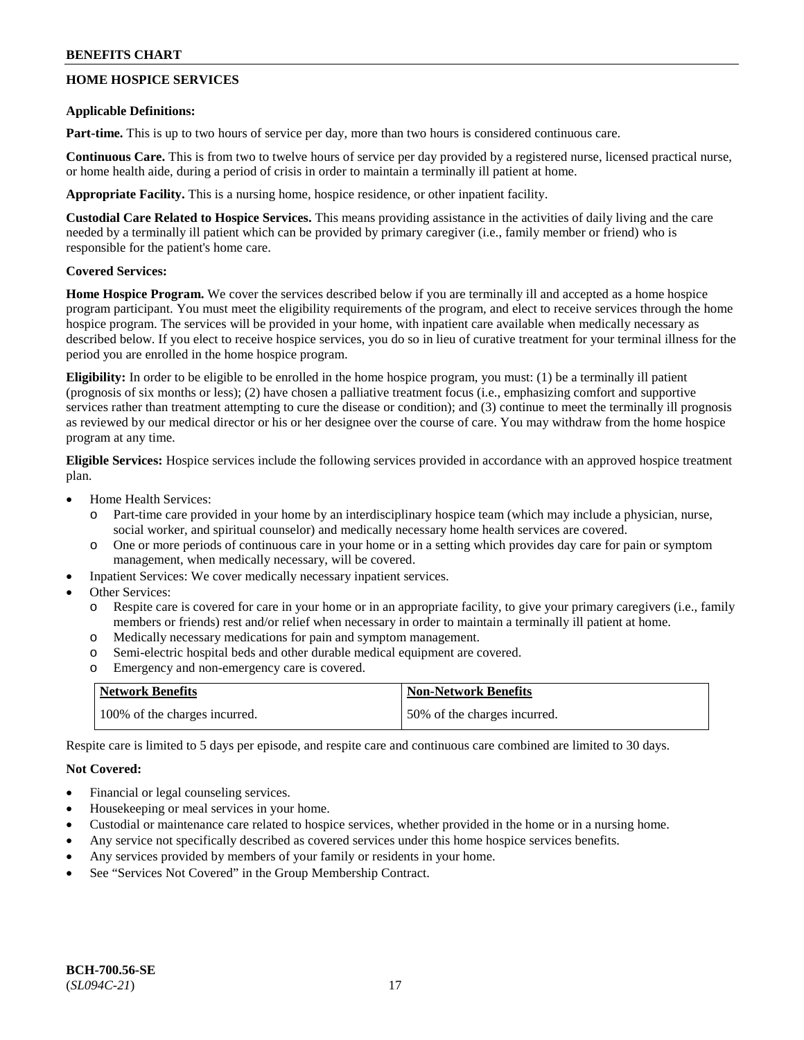## **HOME HOSPICE SERVICES**

#### **Applicable Definitions:**

**Part-time.** This is up to two hours of service per day, more than two hours is considered continuous care.

**Continuous Care.** This is from two to twelve hours of service per day provided by a registered nurse, licensed practical nurse, or home health aide, during a period of crisis in order to maintain a terminally ill patient at home.

**Appropriate Facility.** This is a nursing home, hospice residence, or other inpatient facility.

**Custodial Care Related to Hospice Services.** This means providing assistance in the activities of daily living and the care needed by a terminally ill patient which can be provided by primary caregiver (i.e., family member or friend) who is responsible for the patient's home care.

## **Covered Services:**

**Home Hospice Program.** We cover the services described below if you are terminally ill and accepted as a home hospice program participant. You must meet the eligibility requirements of the program, and elect to receive services through the home hospice program. The services will be provided in your home, with inpatient care available when medically necessary as described below. If you elect to receive hospice services, you do so in lieu of curative treatment for your terminal illness for the period you are enrolled in the home hospice program.

**Eligibility:** In order to be eligible to be enrolled in the home hospice program, you must: (1) be a terminally ill patient (prognosis of six months or less); (2) have chosen a palliative treatment focus (i.e., emphasizing comfort and supportive services rather than treatment attempting to cure the disease or condition); and (3) continue to meet the terminally ill prognosis as reviewed by our medical director or his or her designee over the course of care. You may withdraw from the home hospice program at any time.

**Eligible Services:** Hospice services include the following services provided in accordance with an approved hospice treatment plan.

- Home Health Services:
	- o Part-time care provided in your home by an interdisciplinary hospice team (which may include a physician, nurse, social worker, and spiritual counselor) and medically necessary home health services are covered.
	- o One or more periods of continuous care in your home or in a setting which provides day care for pain or symptom management, when medically necessary, will be covered.
- Inpatient Services: We cover medically necessary inpatient services.
- Other Services:
	- o Respite care is covered for care in your home or in an appropriate facility, to give your primary caregivers (i.e., family members or friends) rest and/or relief when necessary in order to maintain a terminally ill patient at home.
	- o Medically necessary medications for pain and symptom management.
	- o Semi-electric hospital beds and other durable medical equipment are covered.
	- o Emergency and non-emergency care is covered.

| <b>Network Benefits</b>       | <b>Non-Network Benefits</b>  |
|-------------------------------|------------------------------|
| 100% of the charges incurred. | 50% of the charges incurred. |

Respite care is limited to 5 days per episode, and respite care and continuous care combined are limited to 30 days.

## **Not Covered:**

- Financial or legal counseling services.
- Housekeeping or meal services in your home.
- Custodial or maintenance care related to hospice services, whether provided in the home or in a nursing home.
- Any service not specifically described as covered services under this home hospice services benefits.
- Any services provided by members of your family or residents in your home.
- See "Services Not Covered" in the Group Membership Contract.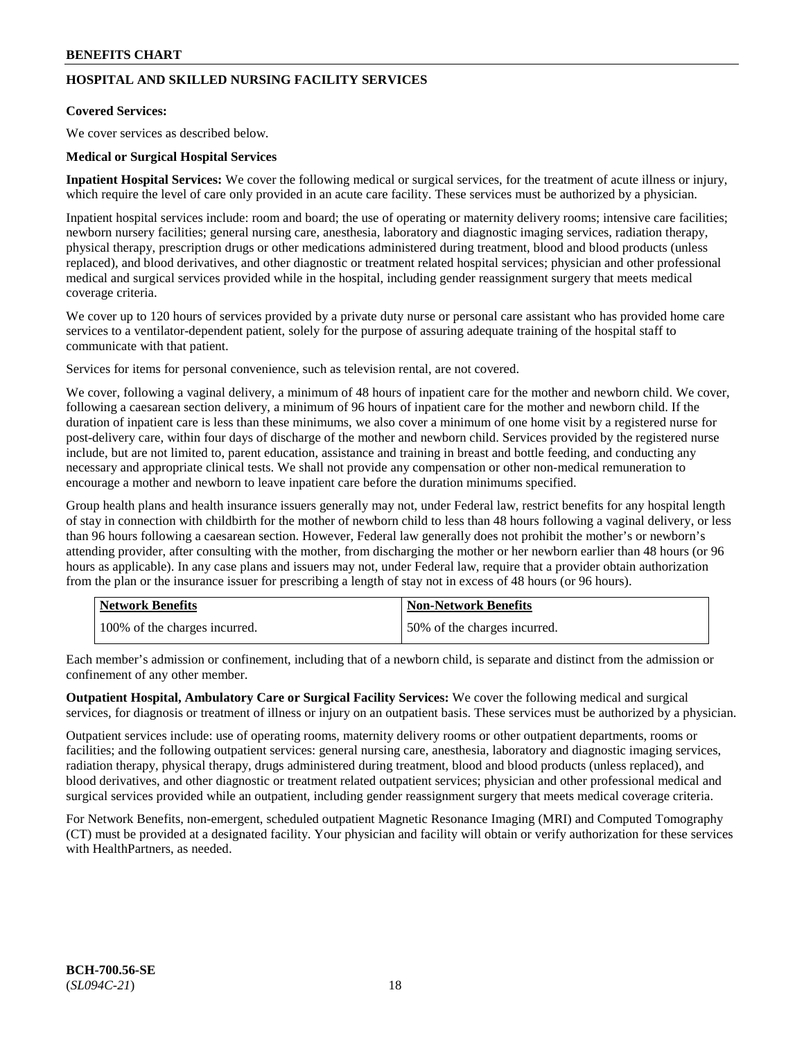## **HOSPITAL AND SKILLED NURSING FACILITY SERVICES**

## **Covered Services:**

We cover services as described below.

#### **Medical or Surgical Hospital Services**

**Inpatient Hospital Services:** We cover the following medical or surgical services, for the treatment of acute illness or injury, which require the level of care only provided in an acute care facility. These services must be authorized by a physician.

Inpatient hospital services include: room and board; the use of operating or maternity delivery rooms; intensive care facilities; newborn nursery facilities; general nursing care, anesthesia, laboratory and diagnostic imaging services, radiation therapy, physical therapy, prescription drugs or other medications administered during treatment, blood and blood products (unless replaced), and blood derivatives, and other diagnostic or treatment related hospital services; physician and other professional medical and surgical services provided while in the hospital, including gender reassignment surgery that meets medical coverage criteria.

We cover up to 120 hours of services provided by a private duty nurse or personal care assistant who has provided home care services to a ventilator-dependent patient, solely for the purpose of assuring adequate training of the hospital staff to communicate with that patient.

Services for items for personal convenience, such as television rental, are not covered.

We cover, following a vaginal delivery, a minimum of 48 hours of inpatient care for the mother and newborn child. We cover, following a caesarean section delivery, a minimum of 96 hours of inpatient care for the mother and newborn child. If the duration of inpatient care is less than these minimums, we also cover a minimum of one home visit by a registered nurse for post-delivery care, within four days of discharge of the mother and newborn child. Services provided by the registered nurse include, but are not limited to, parent education, assistance and training in breast and bottle feeding, and conducting any necessary and appropriate clinical tests. We shall not provide any compensation or other non-medical remuneration to encourage a mother and newborn to leave inpatient care before the duration minimums specified.

Group health plans and health insurance issuers generally may not, under Federal law, restrict benefits for any hospital length of stay in connection with childbirth for the mother of newborn child to less than 48 hours following a vaginal delivery, or less than 96 hours following a caesarean section. However, Federal law generally does not prohibit the mother's or newborn's attending provider, after consulting with the mother, from discharging the mother or her newborn earlier than 48 hours (or 96 hours as applicable). In any case plans and issuers may not, under Federal law, require that a provider obtain authorization from the plan or the insurance issuer for prescribing a length of stay not in excess of 48 hours (or 96 hours).

| <b>Network Benefits</b>       | Non-Network Benefits         |
|-------------------------------|------------------------------|
| 100% of the charges incurred. | 50% of the charges incurred. |

Each member's admission or confinement, including that of a newborn child, is separate and distinct from the admission or confinement of any other member.

**Outpatient Hospital, Ambulatory Care or Surgical Facility Services:** We cover the following medical and surgical services, for diagnosis or treatment of illness or injury on an outpatient basis. These services must be authorized by a physician.

Outpatient services include: use of operating rooms, maternity delivery rooms or other outpatient departments, rooms or facilities; and the following outpatient services: general nursing care, anesthesia, laboratory and diagnostic imaging services, radiation therapy, physical therapy, drugs administered during treatment, blood and blood products (unless replaced), and blood derivatives, and other diagnostic or treatment related outpatient services; physician and other professional medical and surgical services provided while an outpatient, including gender reassignment surgery that meets medical coverage criteria.

For Network Benefits, non-emergent, scheduled outpatient Magnetic Resonance Imaging (MRI) and Computed Tomography (CT) must be provided at a designated facility. Your physician and facility will obtain or verify authorization for these services with HealthPartners, as needed.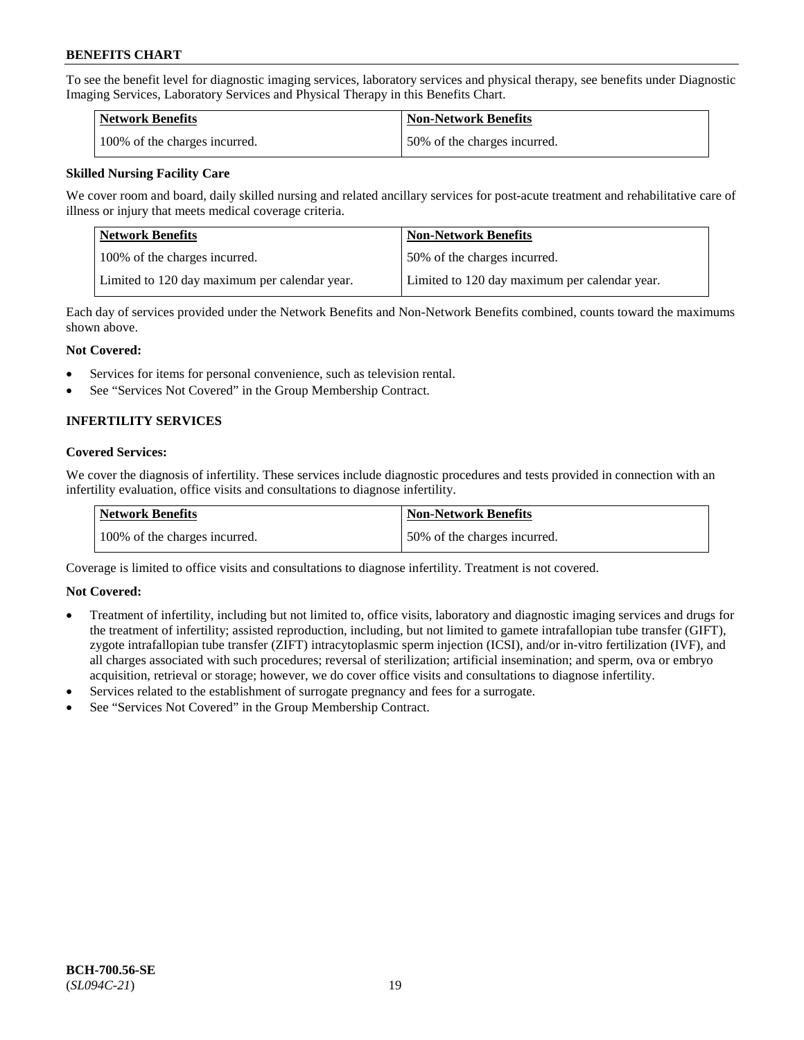To see the benefit level for diagnostic imaging services, laboratory services and physical therapy, see benefits under Diagnostic Imaging Services, Laboratory Services and Physical Therapy in this Benefits Chart.

| <b>Network Benefits</b>       | Non-Network Benefits         |
|-------------------------------|------------------------------|
| 100% of the charges incurred. | 50% of the charges incurred. |

## **Skilled Nursing Facility Care**

We cover room and board, daily skilled nursing and related ancillary services for post-acute treatment and rehabilitative care of illness or injury that meets medical coverage criteria.

| Network Benefits                              | <b>Non-Network Benefits</b>                   |
|-----------------------------------------------|-----------------------------------------------|
| 100\% of the charges incurred.                | 50% of the charges incurred.                  |
| Limited to 120 day maximum per calendar year. | Limited to 120 day maximum per calendar year. |

Each day of services provided under the Network Benefits and Non-Network Benefits combined, counts toward the maximums shown above.

## **Not Covered:**

- Services for items for personal convenience, such as television rental.
- See "Services Not Covered" in the Group Membership Contract.

## **INFERTILITY SERVICES**

## **Covered Services:**

We cover the diagnosis of infertility. These services include diagnostic procedures and tests provided in connection with an infertility evaluation, office visits and consultations to diagnose infertility.

| Network Benefits              | <b>Non-Network Benefits</b>  |
|-------------------------------|------------------------------|
| 100% of the charges incurred. | 50% of the charges incurred. |

Coverage is limited to office visits and consultations to diagnose infertility. Treatment is not covered.

## **Not Covered:**

- Treatment of infertility, including but not limited to, office visits, laboratory and diagnostic imaging services and drugs for the treatment of infertility; assisted reproduction, including, but not limited to gamete intrafallopian tube transfer (GIFT), zygote intrafallopian tube transfer (ZIFT) intracytoplasmic sperm injection (ICSI), and/or in-vitro fertilization (IVF), and all charges associated with such procedures; reversal of sterilization; artificial insemination; and sperm, ova or embryo acquisition, retrieval or storage; however, we do cover office visits and consultations to diagnose infertility.
- Services related to the establishment of surrogate pregnancy and fees for a surrogate.
- See "Services Not Covered" in the Group Membership Contract.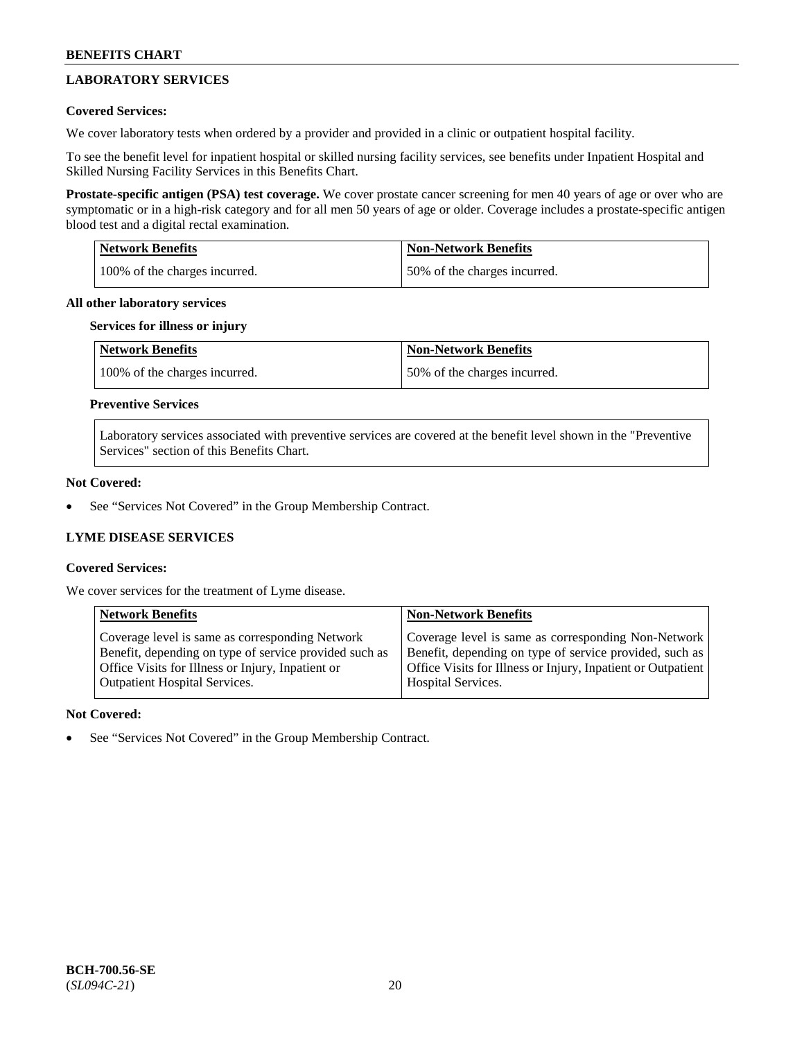## **LABORATORY SERVICES**

## **Covered Services:**

We cover laboratory tests when ordered by a provider and provided in a clinic or outpatient hospital facility.

To see the benefit level for inpatient hospital or skilled nursing facility services, see benefits under Inpatient Hospital and Skilled Nursing Facility Services in this Benefits Chart.

**Prostate-specific antigen (PSA) test coverage.** We cover prostate cancer screening for men 40 years of age or over who are symptomatic or in a high-risk category and for all men 50 years of age or older. Coverage includes a prostate-specific antigen blood test and a digital rectal examination.

| <b>Network Benefits</b>       | <b>Non-Network Benefits</b>  |
|-------------------------------|------------------------------|
| 100% of the charges incurred. | 50% of the charges incurred. |

#### **All other laboratory services**

#### **Services for illness or injury**

| <b>Network Benefits</b>       | <b>Non-Network Benefits</b>  |
|-------------------------------|------------------------------|
| 100% of the charges incurred. | 50% of the charges incurred. |

## **Preventive Services**

Laboratory services associated with preventive services are covered at the benefit level shown in the "Preventive Services" section of this Benefits Chart.

## **Not Covered:**

See "Services Not Covered" in the Group Membership Contract.

## **LYME DISEASE SERVICES**

## **Covered Services:**

We cover services for the treatment of Lyme disease.

| <b>Network Benefits</b>                                | <b>Non-Network Benefits</b>                                  |
|--------------------------------------------------------|--------------------------------------------------------------|
| Coverage level is same as corresponding Network        | Coverage level is same as corresponding Non-Network          |
| Benefit, depending on type of service provided such as | Benefit, depending on type of service provided, such as      |
| Office Visits for Illness or Injury, Inpatient or      | Office Visits for Illness or Injury, Inpatient or Outpatient |
| <b>Outpatient Hospital Services.</b>                   | Hospital Services.                                           |

## **Not Covered:**

See "Services Not Covered" in the Group Membership Contract.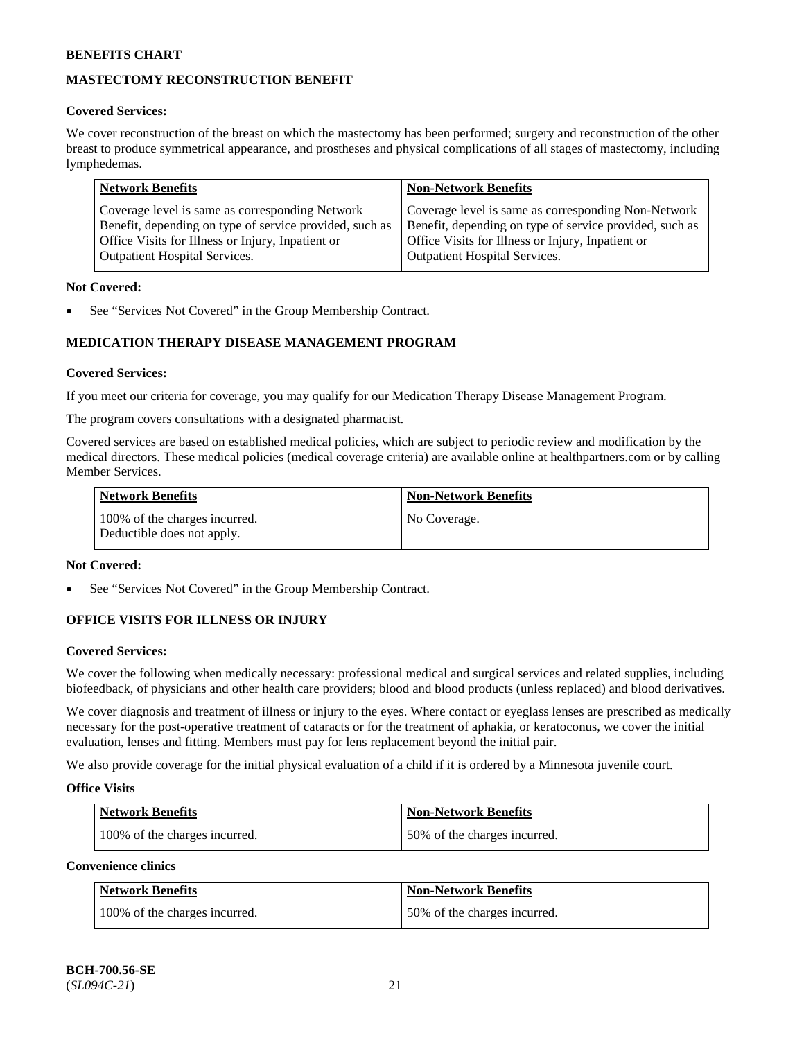## **MASTECTOMY RECONSTRUCTION BENEFIT**

## **Covered Services:**

We cover reconstruction of the breast on which the mastectomy has been performed; surgery and reconstruction of the other breast to produce symmetrical appearance, and prostheses and physical complications of all stages of mastectomy, including lymphedemas.

| <b>Network Benefits</b>                                 | <b>Non-Network Benefits</b>                             |
|---------------------------------------------------------|---------------------------------------------------------|
| Coverage level is same as corresponding Network         | Coverage level is same as corresponding Non-Network     |
| Benefit, depending on type of service provided, such as | Benefit, depending on type of service provided, such as |
| Office Visits for Illness or Injury, Inpatient or       | Office Visits for Illness or Injury, Inpatient or       |
| <b>Outpatient Hospital Services.</b>                    | <b>Outpatient Hospital Services.</b>                    |

## **Not Covered:**

See "Services Not Covered" in the Group Membership Contract.

## **MEDICATION THERAPY DISEASE MANAGEMENT PROGRAM**

## **Covered Services:**

If you meet our criteria for coverage, you may qualify for our Medication Therapy Disease Management Program.

The program covers consultations with a designated pharmacist.

Covered services are based on established medical policies, which are subject to periodic review and modification by the medical directors. These medical policies (medical coverage criteria) are available online at [healthpartners.com](https://www.healthpartners.com/hp/index.html) or by calling Member Services.

| Network Benefits                                            | <b>Non-Network Benefits</b> |
|-------------------------------------------------------------|-----------------------------|
| 100% of the charges incurred.<br>Deductible does not apply. | No Coverage.                |

## **Not Covered:**

See "Services Not Covered" in the Group Membership Contract.

## **OFFICE VISITS FOR ILLNESS OR INJURY**

## **Covered Services:**

We cover the following when medically necessary: professional medical and surgical services and related supplies, including biofeedback, of physicians and other health care providers; blood and blood products (unless replaced) and blood derivatives.

We cover diagnosis and treatment of illness or injury to the eyes. Where contact or eyeglass lenses are prescribed as medically necessary for the post-operative treatment of cataracts or for the treatment of aphakia, or keratoconus, we cover the initial evaluation, lenses and fitting. Members must pay for lens replacement beyond the initial pair.

We also provide coverage for the initial physical evaluation of a child if it is ordered by a Minnesota juvenile court.

## **Office Visits**

| <b>Network Benefits</b>       | <b>Non-Network Benefits</b>  |
|-------------------------------|------------------------------|
| 100% of the charges incurred. | 50% of the charges incurred. |

**Convenience clinics**

| Network Benefits              | <b>Non-Network Benefits</b>  |
|-------------------------------|------------------------------|
| 100% of the charges incurred. | 50% of the charges incurred. |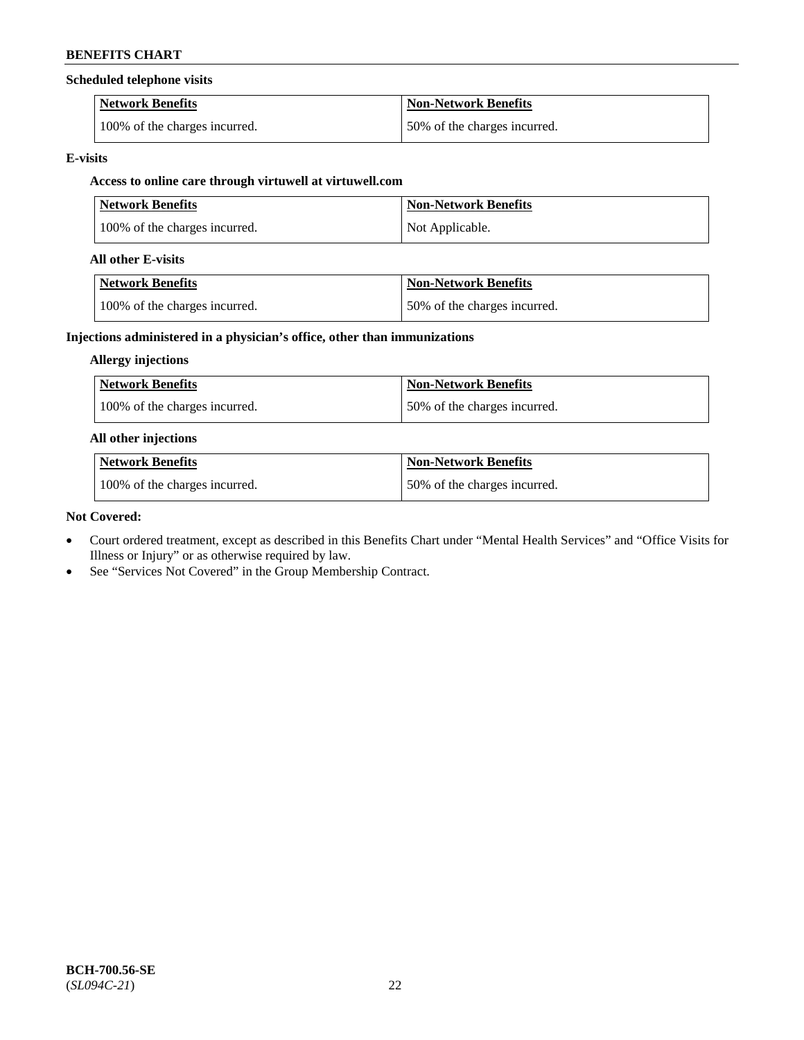#### **Scheduled telephone visits**

| <b>Network Benefits</b>       | <b>Non-Network Benefits</b>  |
|-------------------------------|------------------------------|
| 100% of the charges incurred. | 50% of the charges incurred. |

#### **E-visits**

## **Access to online care through virtuwell at [virtuwell.com](https://www.virtuwell.com/)**

| <b>Network Benefits</b>       | <b>Non-Network Benefits</b> |
|-------------------------------|-----------------------------|
| 100% of the charges incurred. | Not Applicable.             |

#### **All other E-visits**

| Network Benefits              | <b>Non-Network Benefits</b>  |
|-------------------------------|------------------------------|
| 100% of the charges incurred. | 50% of the charges incurred. |

## **Injections administered in a physician's office, other than immunizations**

#### **Allergy injections**

| <b>Network Benefits</b>       | <b>Non-Network Benefits</b>  |
|-------------------------------|------------------------------|
| 100% of the charges incurred. | 50% of the charges incurred. |

#### **All other injections**

| <b>Network Benefits</b>       | <b>Non-Network Benefits</b>  |
|-------------------------------|------------------------------|
| 100% of the charges incurred. | 50% of the charges incurred. |

#### **Not Covered:**

- Court ordered treatment, except as described in this Benefits Chart under "Mental Health Services" and "Office Visits for Illness or Injury" or as otherwise required by law.
- See "Services Not Covered" in the Group Membership Contract.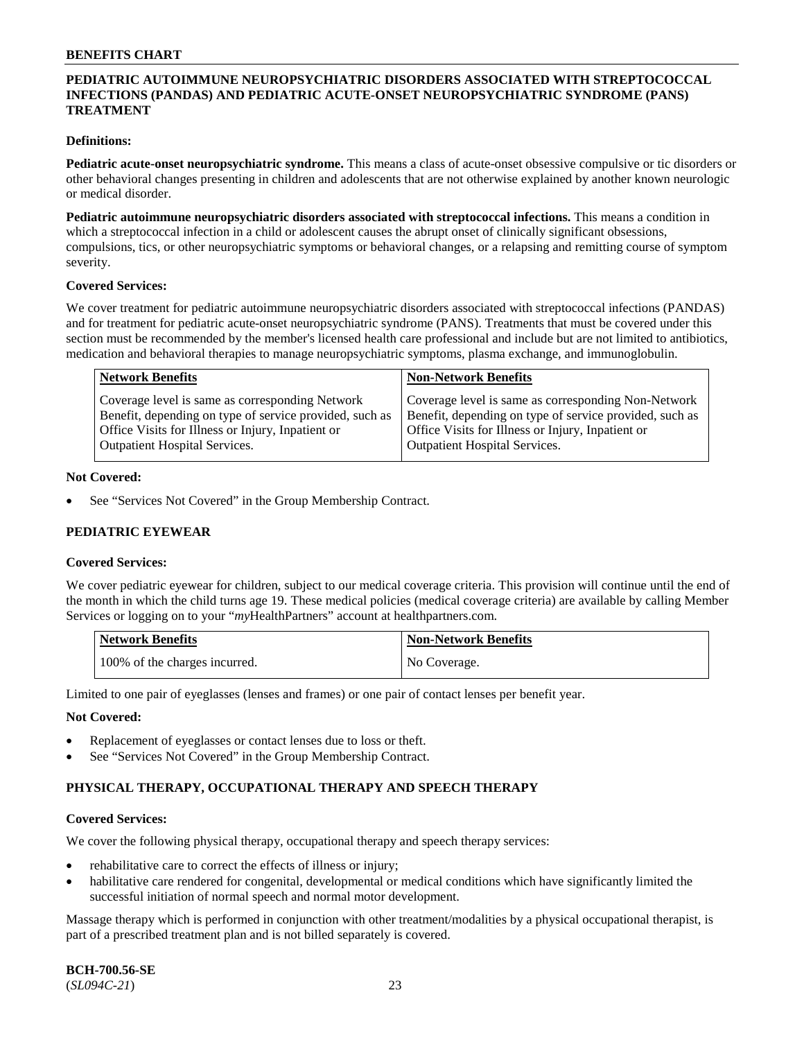### **PEDIATRIC AUTOIMMUNE NEUROPSYCHIATRIC DISORDERS ASSOCIATED WITH STREPTOCOCCAL INFECTIONS (PANDAS) AND PEDIATRIC ACUTE-ONSET NEUROPSYCHIATRIC SYNDROME (PANS) TREATMENT**

#### **Definitions:**

**Pediatric acute-onset neuropsychiatric syndrome.** This means a class of acute-onset obsessive compulsive or tic disorders or other behavioral changes presenting in children and adolescents that are not otherwise explained by another known neurologic or medical disorder.

**Pediatric autoimmune neuropsychiatric disorders associated with streptococcal infections.** This means a condition in which a streptococcal infection in a child or adolescent causes the abrupt onset of clinically significant obsessions, compulsions, tics, or other neuropsychiatric symptoms or behavioral changes, or a relapsing and remitting course of symptom severity.

#### **Covered Services:**

We cover treatment for pediatric autoimmune neuropsychiatric disorders associated with streptococcal infections (PANDAS) and for treatment for pediatric acute-onset neuropsychiatric syndrome (PANS). Treatments that must be covered under this section must be recommended by the member's licensed health care professional and include but are not limited to antibiotics, medication and behavioral therapies to manage neuropsychiatric symptoms, plasma exchange, and immunoglobulin.

| <b>Network Benefits</b>                                 | <b>Non-Network Benefits</b>                             |
|---------------------------------------------------------|---------------------------------------------------------|
| Coverage level is same as corresponding Network         | Coverage level is same as corresponding Non-Network     |
| Benefit, depending on type of service provided, such as | Benefit, depending on type of service provided, such as |
| Office Visits for Illness or Injury, Inpatient or       | Office Visits for Illness or Injury, Inpatient or       |
| <b>Outpatient Hospital Services.</b>                    | <b>Outpatient Hospital Services.</b>                    |

#### **Not Covered:**

See "Services Not Covered" in the Group Membership Contract.

## **PEDIATRIC EYEWEAR**

#### **Covered Services:**

We cover pediatric eyewear for children, subject to our medical coverage criteria. This provision will continue until the end of the month in which the child turns age 19. These medical policies (medical coverage criteria) are available by calling Member Services or logging on to your "*my*HealthPartners" account at [healthpartners.com.](https://www.healthpartners.com/hp/index.html)

| Network Benefits              | <b>Non-Network Benefits</b> |
|-------------------------------|-----------------------------|
| 100% of the charges incurred. | No Coverage.                |

Limited to one pair of eyeglasses (lenses and frames) or one pair of contact lenses per benefit year.

#### **Not Covered:**

- Replacement of eyeglasses or contact lenses due to loss or theft.
- See "Services Not Covered" in the Group Membership Contract.

## **PHYSICAL THERAPY, OCCUPATIONAL THERAPY AND SPEECH THERAPY**

#### **Covered Services:**

We cover the following physical therapy, occupational therapy and speech therapy services:

- rehabilitative care to correct the effects of illness or injury;
- habilitative care rendered for congenital, developmental or medical conditions which have significantly limited the successful initiation of normal speech and normal motor development.

Massage therapy which is performed in conjunction with other treatment/modalities by a physical occupational therapist, is part of a prescribed treatment plan and is not billed separately is covered.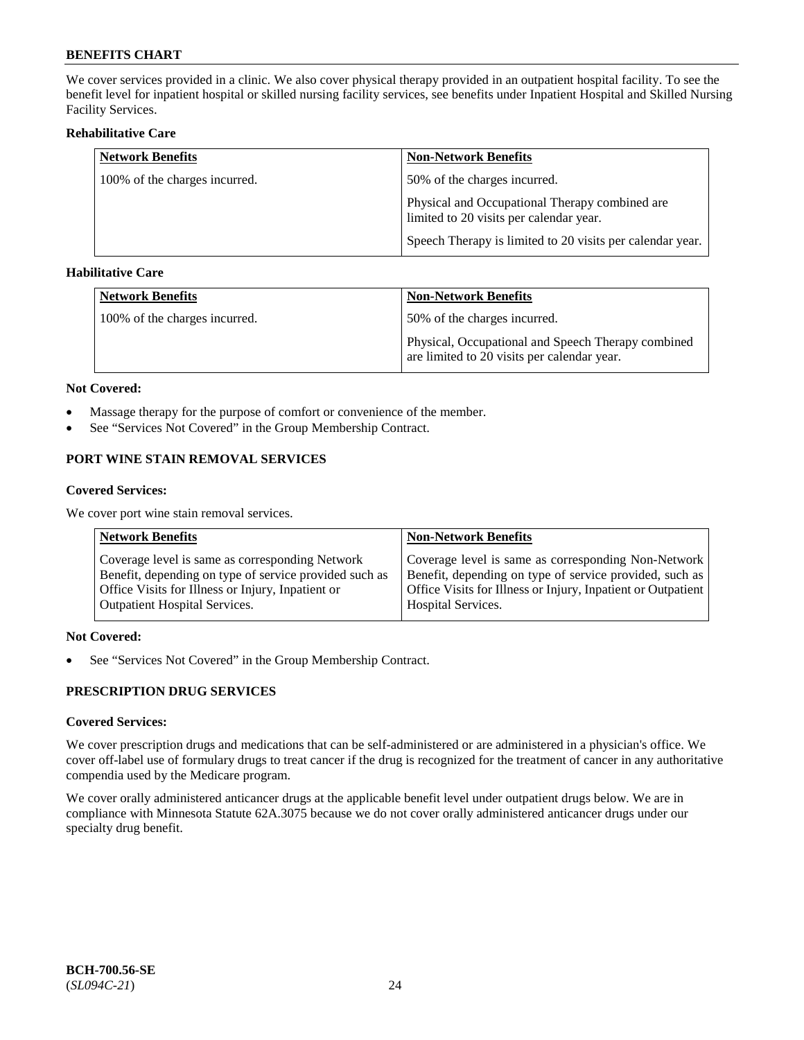We cover services provided in a clinic. We also cover physical therapy provided in an outpatient hospital facility. To see the benefit level for inpatient hospital or skilled nursing facility services, see benefits under Inpatient Hospital and Skilled Nursing Facility Services.

### **Rehabilitative Care**

| <b>Network Benefits</b>       | <b>Non-Network Benefits</b>                                                               |
|-------------------------------|-------------------------------------------------------------------------------------------|
| 100% of the charges incurred. | 50% of the charges incurred.                                                              |
|                               | Physical and Occupational Therapy combined are<br>limited to 20 visits per calendar year. |
|                               | Speech Therapy is limited to 20 visits per calendar year.                                 |

## **Habilitative Care**

| <b>Network Benefits</b>       | Non-Network Benefits                                                                              |
|-------------------------------|---------------------------------------------------------------------------------------------------|
| 100% of the charges incurred. | 50% of the charges incurred.                                                                      |
|                               | Physical, Occupational and Speech Therapy combined<br>are limited to 20 visits per calendar year. |

#### **Not Covered:**

- Massage therapy for the purpose of comfort or convenience of the member.
- See "Services Not Covered" in the Group Membership Contract.

## **PORT WINE STAIN REMOVAL SERVICES**

#### **Covered Services:**

We cover port wine stain removal services.

| <b>Network Benefits</b>                                | <b>Non-Network Benefits</b>                                  |
|--------------------------------------------------------|--------------------------------------------------------------|
| Coverage level is same as corresponding Network        | Coverage level is same as corresponding Non-Network          |
| Benefit, depending on type of service provided such as | Benefit, depending on type of service provided, such as      |
| Office Visits for Illness or Injury, Inpatient or      | Office Visits for Illness or Injury, Inpatient or Outpatient |
| <b>Outpatient Hospital Services.</b>                   | <b>Hospital Services.</b>                                    |

### **Not Covered:**

• See "Services Not Covered" in the Group Membership Contract.

## **PRESCRIPTION DRUG SERVICES**

## **Covered Services:**

We cover prescription drugs and medications that can be self-administered or are administered in a physician's office. We cover off-label use of formulary drugs to treat cancer if the drug is recognized for the treatment of cancer in any authoritative compendia used by the Medicare program.

We cover orally administered anticancer drugs at the applicable benefit level under outpatient drugs below. We are in compliance with Minnesota Statute 62A.3075 because we do not cover orally administered anticancer drugs under our specialty drug benefit.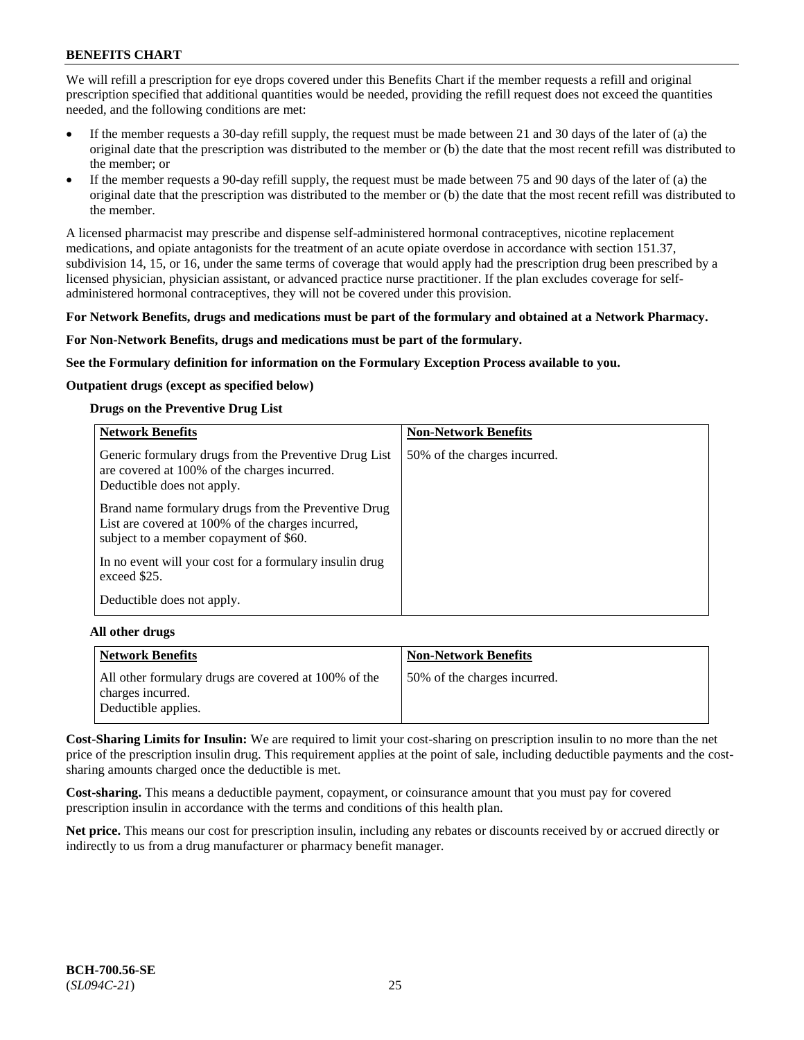We will refill a prescription for eye drops covered under this Benefits Chart if the member requests a refill and original prescription specified that additional quantities would be needed, providing the refill request does not exceed the quantities needed, and the following conditions are met:

- If the member requests a 30-day refill supply, the request must be made between 21 and 30 days of the later of (a) the original date that the prescription was distributed to the member or (b) the date that the most recent refill was distributed to the member; or
- If the member requests a 90-day refill supply, the request must be made between 75 and 90 days of the later of (a) the original date that the prescription was distributed to the member or (b) the date that the most recent refill was distributed to the member.

A licensed pharmacist may prescribe and dispense self-administered hormonal contraceptives, nicotine replacement medications, and opiate antagonists for the treatment of an acute opiate overdose in accordance with section 151.37, subdivision 14, 15, or 16, under the same terms of coverage that would apply had the prescription drug been prescribed by a licensed physician, physician assistant, or advanced practice nurse practitioner. If the plan excludes coverage for selfadministered hormonal contraceptives, they will not be covered under this provision.

## **For Network Benefits, drugs and medications must be part of the formulary and obtained at a Network Pharmacy.**

## **For Non-Network Benefits, drugs and medications must be part of the formulary.**

**See the Formulary definition for information on the Formulary Exception Process available to you.**

## **Outpatient drugs (except as specified below)**

## **Drugs on the Preventive Drug List**

| <b>Network Benefits</b>                                                                                                                            | <b>Non-Network Benefits</b>  |
|----------------------------------------------------------------------------------------------------------------------------------------------------|------------------------------|
| Generic formulary drugs from the Preventive Drug List<br>are covered at 100% of the charges incurred.<br>Deductible does not apply.                | 50% of the charges incurred. |
| Brand name formulary drugs from the Preventive Drug<br>List are covered at 100% of the charges incurred,<br>subject to a member copayment of \$60. |                              |
| In no event will your cost for a formulary insulin drug<br>exceed \$25.                                                                            |                              |
| Deductible does not apply.                                                                                                                         |                              |

## **All other drugs**

| <b>Network Benefits</b>                                                   | <b>Non-Network Benefits</b>  |
|---------------------------------------------------------------------------|------------------------------|
| All other formulary drugs are covered at 100% of the<br>charges incurred. | 50% of the charges incurred. |
| Deductible applies.                                                       |                              |

**Cost-Sharing Limits for Insulin:** We are required to limit your cost-sharing on prescription insulin to no more than the net price of the prescription insulin drug. This requirement applies at the point of sale, including deductible payments and the costsharing amounts charged once the deductible is met.

**Cost-sharing.** This means a deductible payment, copayment, or coinsurance amount that you must pay for covered prescription insulin in accordance with the terms and conditions of this health plan.

**Net price.** This means our cost for prescription insulin, including any rebates or discounts received by or accrued directly or indirectly to us from a drug manufacturer or pharmacy benefit manager.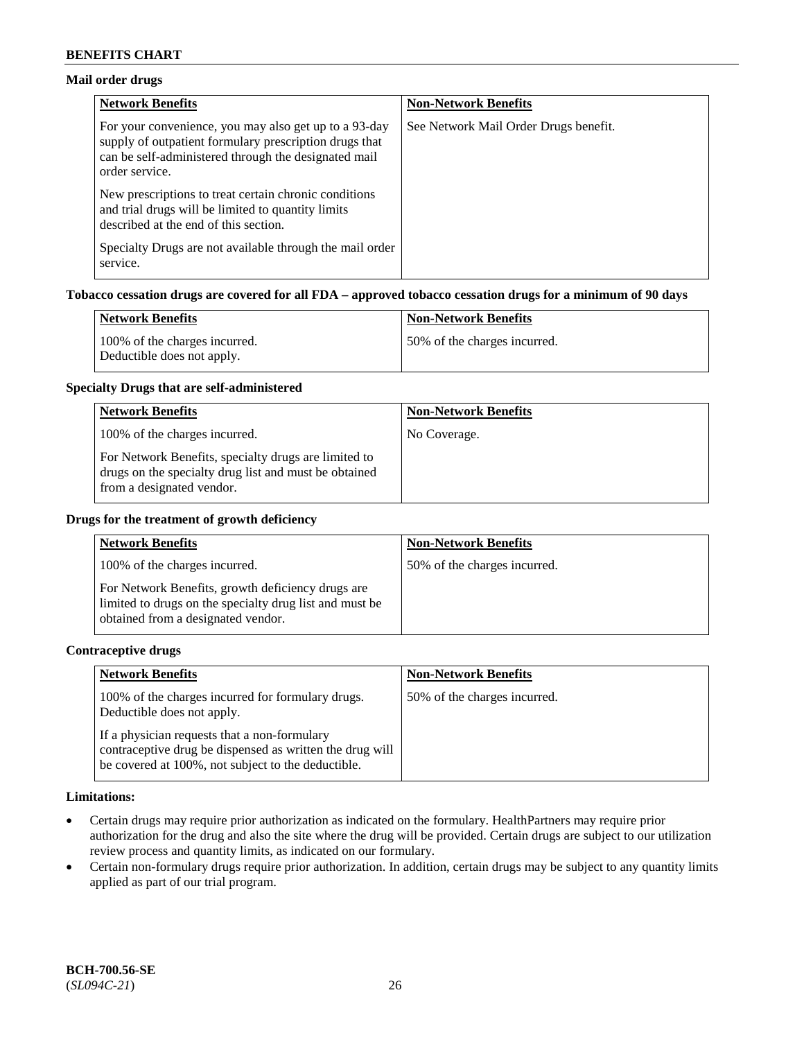## **Mail order drugs**

| <b>Network Benefits</b>                                                                                                                                                                   | <b>Non-Network Benefits</b>           |
|-------------------------------------------------------------------------------------------------------------------------------------------------------------------------------------------|---------------------------------------|
| For your convenience, you may also get up to a 93-day<br>supply of outpatient formulary prescription drugs that<br>can be self-administered through the designated mail<br>order service. | See Network Mail Order Drugs benefit. |
| New prescriptions to treat certain chronic conditions<br>and trial drugs will be limited to quantity limits<br>described at the end of this section.                                      |                                       |
| Specialty Drugs are not available through the mail order<br>service.                                                                                                                      |                                       |

## **Tobacco cessation drugs are covered for all FDA – approved tobacco cessation drugs for a minimum of 90 days**

| Network Benefits                                            | <b>Non-Network Benefits</b>  |
|-------------------------------------------------------------|------------------------------|
| 100% of the charges incurred.<br>Deductible does not apply. | 50% of the charges incurred. |

#### **Specialty Drugs that are self-administered**

| <b>Network Benefits</b>                                                                                                                    | <b>Non-Network Benefits</b> |
|--------------------------------------------------------------------------------------------------------------------------------------------|-----------------------------|
| 100% of the charges incurred.                                                                                                              | No Coverage.                |
| For Network Benefits, specialty drugs are limited to<br>drugs on the specialty drug list and must be obtained<br>from a designated vendor. |                             |

#### **Drugs for the treatment of growth deficiency**

| <b>Network Benefits</b>                                                                                                                            | <b>Non-Network Benefits</b>  |
|----------------------------------------------------------------------------------------------------------------------------------------------------|------------------------------|
| 100% of the charges incurred.                                                                                                                      | 50% of the charges incurred. |
| For Network Benefits, growth deficiency drugs are<br>limited to drugs on the specialty drug list and must be<br>obtained from a designated vendor. |                              |

#### **Contraceptive drugs**

| <b>Network Benefits</b>                                                                                                                                        | <b>Non-Network Benefits</b>  |
|----------------------------------------------------------------------------------------------------------------------------------------------------------------|------------------------------|
| 100% of the charges incurred for formulary drugs.<br>Deductible does not apply.                                                                                | 50% of the charges incurred. |
| If a physician requests that a non-formulary<br>contraceptive drug be dispensed as written the drug will<br>be covered at 100%, not subject to the deductible. |                              |

#### **Limitations:**

- Certain drugs may require prior authorization as indicated on the formulary. HealthPartners may require prior authorization for the drug and also the site where the drug will be provided. Certain drugs are subject to our utilization review process and quantity limits, as indicated on our formulary.
- Certain non-formulary drugs require prior authorization. In addition, certain drugs may be subject to any quantity limits applied as part of our trial program.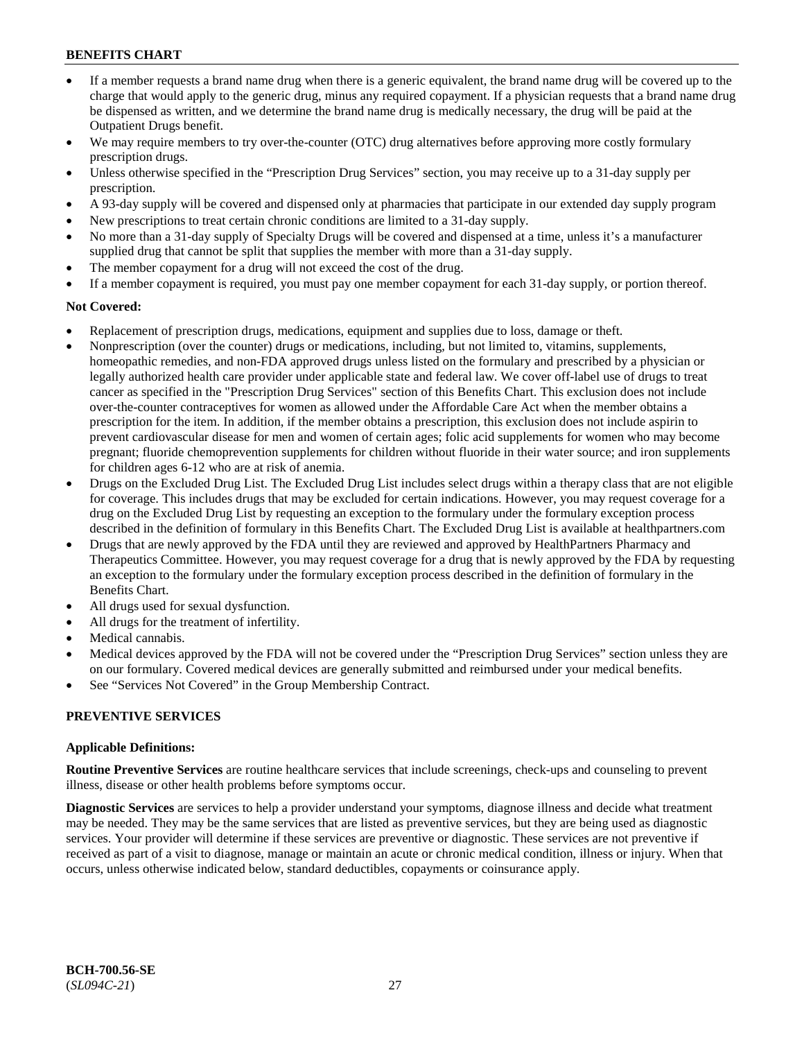- If a member requests a brand name drug when there is a generic equivalent, the brand name drug will be covered up to the charge that would apply to the generic drug, minus any required copayment. If a physician requests that a brand name drug be dispensed as written, and we determine the brand name drug is medically necessary, the drug will be paid at the Outpatient Drugs benefit.
- We may require members to try over-the-counter (OTC) drug alternatives before approving more costly formulary prescription drugs.
- Unless otherwise specified in the "Prescription Drug Services" section, you may receive up to a 31-day supply per prescription.
- A 93-day supply will be covered and dispensed only at pharmacies that participate in our extended day supply program
- New prescriptions to treat certain chronic conditions are limited to a 31-day supply.
- No more than a 31-day supply of Specialty Drugs will be covered and dispensed at a time, unless it's a manufacturer supplied drug that cannot be split that supplies the member with more than a 31-day supply.
- The member copayment for a drug will not exceed the cost of the drug.
- If a member copayment is required, you must pay one member copayment for each 31-day supply, or portion thereof.

#### **Not Covered:**

- Replacement of prescription drugs, medications, equipment and supplies due to loss, damage or theft.
- Nonprescription (over the counter) drugs or medications, including, but not limited to, vitamins, supplements, homeopathic remedies, and non-FDA approved drugs unless listed on the formulary and prescribed by a physician or legally authorized health care provider under applicable state and federal law. We cover off-label use of drugs to treat cancer as specified in the "Prescription Drug Services" section of this Benefits Chart. This exclusion does not include over-the-counter contraceptives for women as allowed under the Affordable Care Act when the member obtains a prescription for the item. In addition, if the member obtains a prescription, this exclusion does not include aspirin to prevent cardiovascular disease for men and women of certain ages; folic acid supplements for women who may become pregnant; fluoride chemoprevention supplements for children without fluoride in their water source; and iron supplements for children ages 6-12 who are at risk of anemia.
- Drugs on the Excluded Drug List. The Excluded Drug List includes select drugs within a therapy class that are not eligible for coverage. This includes drugs that may be excluded for certain indications. However, you may request coverage for a drug on the Excluded Drug List by requesting an exception to the formulary under the formulary exception process described in the definition of formulary in this Benefits Chart. The Excluded Drug List is available at [healthpartners.com](http://www.healthpartners.com/)
- Drugs that are newly approved by the FDA until they are reviewed and approved by HealthPartners Pharmacy and Therapeutics Committee. However, you may request coverage for a drug that is newly approved by the FDA by requesting an exception to the formulary under the formulary exception process described in the definition of formulary in the Benefits Chart.
- All drugs used for sexual dysfunction.
- All drugs for the treatment of infertility.
- Medical cannabis.
- Medical devices approved by the FDA will not be covered under the "Prescription Drug Services" section unless they are on our formulary. Covered medical devices are generally submitted and reimbursed under your medical benefits.
- See "Services Not Covered" in the Group Membership Contract.

#### **PREVENTIVE SERVICES**

#### **Applicable Definitions:**

**Routine Preventive Services** are routine healthcare services that include screenings, check-ups and counseling to prevent illness, disease or other health problems before symptoms occur.

**Diagnostic Services** are services to help a provider understand your symptoms, diagnose illness and decide what treatment may be needed. They may be the same services that are listed as preventive services, but they are being used as diagnostic services. Your provider will determine if these services are preventive or diagnostic. These services are not preventive if received as part of a visit to diagnose, manage or maintain an acute or chronic medical condition, illness or injury. When that occurs, unless otherwise indicated below, standard deductibles, copayments or coinsurance apply.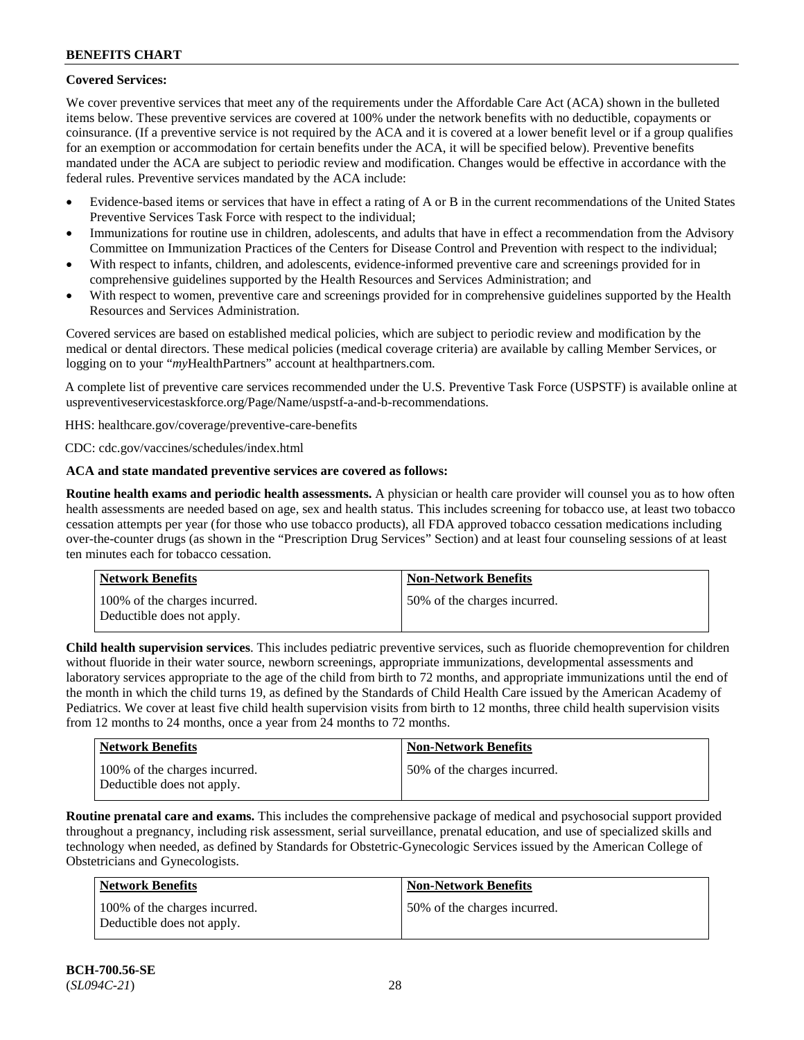## **Covered Services:**

We cover preventive services that meet any of the requirements under the Affordable Care Act (ACA) shown in the bulleted items below. These preventive services are covered at 100% under the network benefits with no deductible, copayments or coinsurance. (If a preventive service is not required by the ACA and it is covered at a lower benefit level or if a group qualifies for an exemption or accommodation for certain benefits under the ACA, it will be specified below). Preventive benefits mandated under the ACA are subject to periodic review and modification. Changes would be effective in accordance with the federal rules. Preventive services mandated by the ACA include:

- Evidence-based items or services that have in effect a rating of A or B in the current recommendations of the United States Preventive Services Task Force with respect to the individual;
- Immunizations for routine use in children, adolescents, and adults that have in effect a recommendation from the Advisory Committee on Immunization Practices of the Centers for Disease Control and Prevention with respect to the individual;
- With respect to infants, children, and adolescents, evidence-informed preventive care and screenings provided for in comprehensive guidelines supported by the Health Resources and Services Administration; and
- With respect to women, preventive care and screenings provided for in comprehensive guidelines supported by the Health Resources and Services Administration.

Covered services are based on established medical policies, which are subject to periodic review and modification by the medical or dental directors. These medical policies (medical coverage criteria) are available by calling Member Services, or logging on to your "*my*HealthPartners" account at [healthpartners.com.](http://www.healthpartners.com/)

A complete list of preventive care services recommended under the U.S. Preventive Task Force (USPSTF) is available online at [uspreventiveservicestaskforce.org/Page/Name/uspstf-a-and-b-recommendations.](https://www.uspreventiveservicestaskforce.org/Page/Name/uspstf-a-and-b-recommendations-by-date/)

HHS: [healthcare.gov/coverage/preventive-care-benefits](https://www.healthcare.gov/coverage/preventive-care-benefits/)

CDC: [cdc.gov/vaccines/schedules/index.html](https://www.cdc.gov/vaccines/schedules/index.html)

## **ACA and state mandated preventive services are covered as follows:**

**Routine health exams and periodic health assessments.** A physician or health care provider will counsel you as to how often health assessments are needed based on age, sex and health status. This includes screening for tobacco use, at least two tobacco cessation attempts per year (for those who use tobacco products), all FDA approved tobacco cessation medications including over-the-counter drugs (as shown in the "Prescription Drug Services" Section) and at least four counseling sessions of at least ten minutes each for tobacco cessation.

| Network Benefits                                            | <b>Non-Network Benefits</b>  |
|-------------------------------------------------------------|------------------------------|
| 100% of the charges incurred.<br>Deductible does not apply. | 50% of the charges incurred. |

**Child health supervision services**. This includes pediatric preventive services, such as fluoride chemoprevention for children without fluoride in their water source, newborn screenings, appropriate immunizations, developmental assessments and laboratory services appropriate to the age of the child from birth to 72 months, and appropriate immunizations until the end of the month in which the child turns 19, as defined by the Standards of Child Health Care issued by the American Academy of Pediatrics. We cover at least five child health supervision visits from birth to 12 months, three child health supervision visits from 12 months to 24 months, once a year from 24 months to 72 months.

| <b>Network Benefits</b>                                     | <b>Non-Network Benefits</b>  |
|-------------------------------------------------------------|------------------------------|
| 100% of the charges incurred.<br>Deductible does not apply. | 50% of the charges incurred. |

**Routine prenatal care and exams.** This includes the comprehensive package of medical and psychosocial support provided throughout a pregnancy, including risk assessment, serial surveillance, prenatal education, and use of specialized skills and technology when needed, as defined by Standards for Obstetric-Gynecologic Services issued by the American College of Obstetricians and Gynecologists.

| Network Benefits                                            | <b>Non-Network Benefits</b>  |
|-------------------------------------------------------------|------------------------------|
| 100% of the charges incurred.<br>Deductible does not apply. | 50% of the charges incurred. |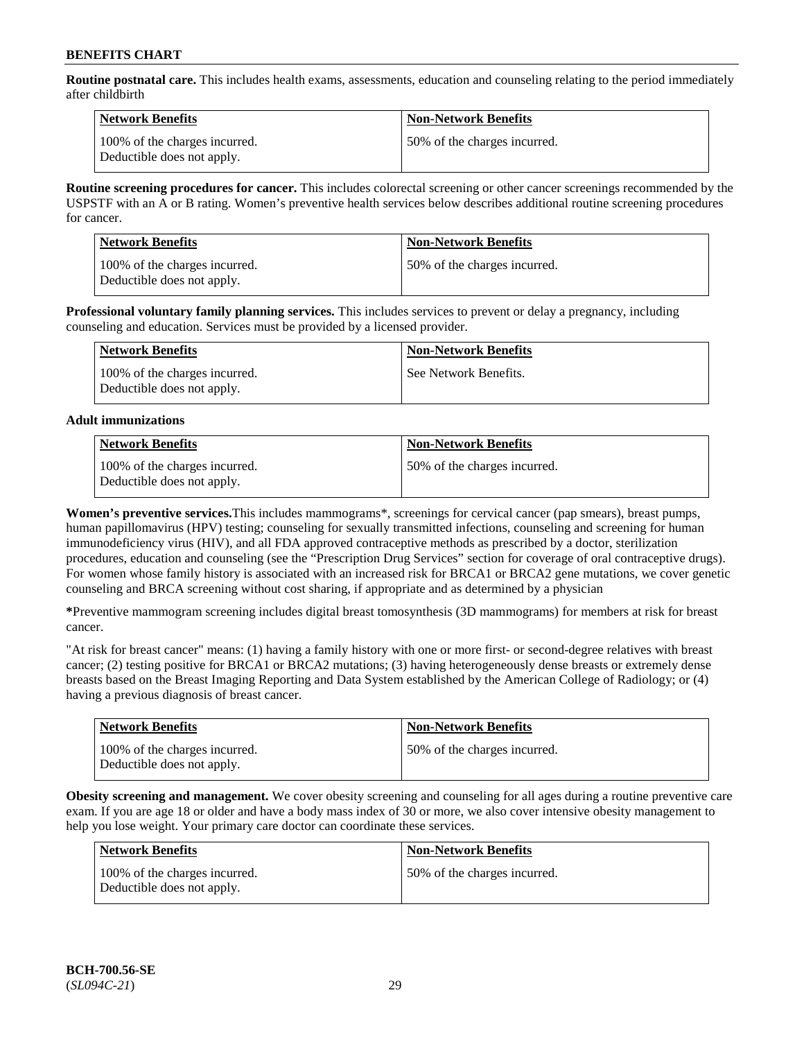**Routine postnatal care.** This includes health exams, assessments, education and counseling relating to the period immediately after childbirth

| Network Benefits                                            | <b>Non-Network Benefits</b>  |
|-------------------------------------------------------------|------------------------------|
| 100% of the charges incurred.<br>Deductible does not apply. | 50% of the charges incurred. |

**Routine screening procedures for cancer.** This includes colorectal screening or other cancer screenings recommended by the USPSTF with an A or B rating. Women's preventive health services below describes additional routine screening procedures for cancer.

| <b>Network Benefits</b>                                     | <b>Non-Network Benefits</b>  |
|-------------------------------------------------------------|------------------------------|
| 100% of the charges incurred.<br>Deductible does not apply. | 50% of the charges incurred. |

**Professional voluntary family planning services.** This includes services to prevent or delay a pregnancy, including counseling and education. Services must be provided by a licensed provider.

| Network Benefits                                            | <b>Non-Network Benefits</b> |
|-------------------------------------------------------------|-----------------------------|
| 100% of the charges incurred.<br>Deductible does not apply. | See Network Benefits.       |

## **Adult immunizations**

| <b>Network Benefits</b>                                     | <b>Non-Network Benefits</b>   |
|-------------------------------------------------------------|-------------------------------|
| 100% of the charges incurred.<br>Deductible does not apply. | 150% of the charges incurred. |

**Women's preventive services.**This includes mammograms\*, screenings for cervical cancer (pap smears), breast pumps, human papillomavirus (HPV) testing; counseling for sexually transmitted infections, counseling and screening for human immunodeficiency virus (HIV), and all FDA approved contraceptive methods as prescribed by a doctor, sterilization procedures, education and counseling (see the "Prescription Drug Services" section for coverage of oral contraceptive drugs). For women whose family history is associated with an increased risk for BRCA1 or BRCA2 gene mutations, we cover genetic counseling and BRCA screening without cost sharing, if appropriate and as determined by a physician

**\***Preventive mammogram screening includes digital breast tomosynthesis (3D mammograms) for members at risk for breast cancer.

"At risk for breast cancer" means: (1) having a family history with one or more first- or second-degree relatives with breast cancer; (2) testing positive for BRCA1 or BRCA2 mutations; (3) having heterogeneously dense breasts or extremely dense breasts based on the Breast Imaging Reporting and Data System established by the American College of Radiology; or (4) having a previous diagnosis of breast cancer.

| <b>Network Benefits</b>                                     | <b>Non-Network Benefits</b>  |
|-------------------------------------------------------------|------------------------------|
| 100% of the charges incurred.<br>Deductible does not apply. | 50% of the charges incurred. |

**Obesity screening and management.** We cover obesity screening and counseling for all ages during a routine preventive care exam. If you are age 18 or older and have a body mass index of 30 or more, we also cover intensive obesity management to help you lose weight. Your primary care doctor can coordinate these services.

| <b>Network Benefits</b>                                     | <b>Non-Network Benefits</b>  |
|-------------------------------------------------------------|------------------------------|
| 100% of the charges incurred.<br>Deductible does not apply. | 50% of the charges incurred. |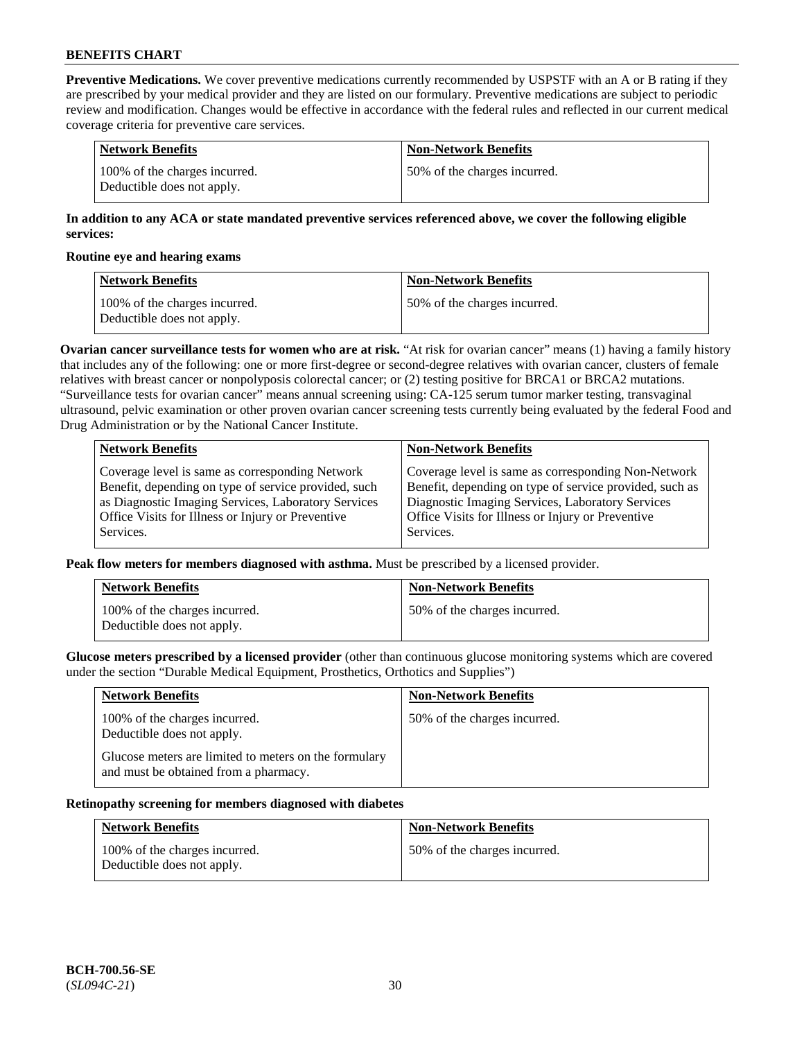**Preventive Medications.** We cover preventive medications currently recommended by USPSTF with an A or B rating if they are prescribed by your medical provider and they are listed on our formulary. Preventive medications are subject to periodic review and modification. Changes would be effective in accordance with the federal rules and reflected in our current medical coverage criteria for preventive care services.

| Network Benefits                                            | Non-Network Benefits         |
|-------------------------------------------------------------|------------------------------|
| 100% of the charges incurred.<br>Deductible does not apply. | 50% of the charges incurred. |

### **In addition to any ACA or state mandated preventive services referenced above, we cover the following eligible services:**

#### **Routine eye and hearing exams**

| <b>Network Benefits</b>                                     | <b>Non-Network Benefits</b>  |
|-------------------------------------------------------------|------------------------------|
| 100% of the charges incurred.<br>Deductible does not apply. | 50% of the charges incurred. |

**Ovarian cancer surveillance tests for women who are at risk.** "At risk for ovarian cancer" means (1) having a family history that includes any of the following: one or more first-degree or second-degree relatives with ovarian cancer, clusters of female relatives with breast cancer or nonpolyposis colorectal cancer; or (2) testing positive for BRCA1 or BRCA2 mutations. "Surveillance tests for ovarian cancer" means annual screening using: CA-125 serum tumor marker testing, transvaginal ultrasound, pelvic examination or other proven ovarian cancer screening tests currently being evaluated by the federal Food and Drug Administration or by the National Cancer Institute.

| <b>Network Benefits</b>                              | <b>Non-Network Benefits</b>                             |
|------------------------------------------------------|---------------------------------------------------------|
| Coverage level is same as corresponding Network      | Coverage level is same as corresponding Non-Network     |
| Benefit, depending on type of service provided, such | Benefit, depending on type of service provided, such as |
| as Diagnostic Imaging Services, Laboratory Services  | Diagnostic Imaging Services, Laboratory Services        |
| Office Visits for Illness or Injury or Preventive    | Office Visits for Illness or Injury or Preventive       |
| Services.                                            | Services.                                               |

**Peak flow meters for members diagnosed with asthma.** Must be prescribed by a licensed provider.

| <b>Network Benefits</b>                                     | <b>Non-Network Benefits</b>  |
|-------------------------------------------------------------|------------------------------|
| 100% of the charges incurred.<br>Deductible does not apply. | 50% of the charges incurred. |

**Glucose meters prescribed by a licensed provider** (other than continuous glucose monitoring systems which are covered under the section "Durable Medical Equipment, Prosthetics, Orthotics and Supplies")

| <b>Network Benefits</b>                                                                        | <b>Non-Network Benefits</b>  |
|------------------------------------------------------------------------------------------------|------------------------------|
| 100% of the charges incurred.<br>Deductible does not apply.                                    | 50% of the charges incurred. |
| Glucose meters are limited to meters on the formulary<br>and must be obtained from a pharmacy. |                              |

#### **Retinopathy screening for members diagnosed with diabetes**

| <b>Network Benefits</b>                                     | <b>Non-Network Benefits</b>  |
|-------------------------------------------------------------|------------------------------|
| 100% of the charges incurred.<br>Deductible does not apply. | 50% of the charges incurred. |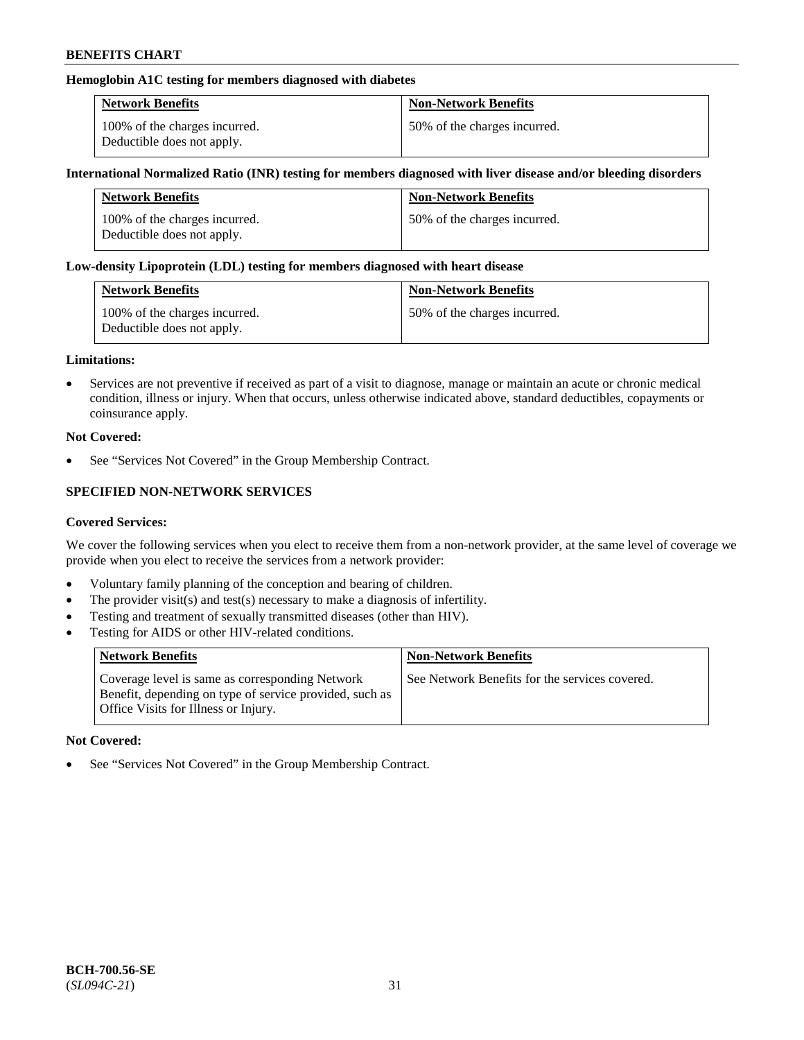### **Hemoglobin A1C testing for members diagnosed with diabetes**

| <b>Network Benefits</b>                                     | <b>Non-Network Benefits</b>  |
|-------------------------------------------------------------|------------------------------|
| 100% of the charges incurred.<br>Deductible does not apply. | 50% of the charges incurred. |

#### **International Normalized Ratio (INR) testing for members diagnosed with liver disease and/or bleeding disorders**

| <b>Network Benefits</b>                                     | <b>Non-Network Benefits</b>  |
|-------------------------------------------------------------|------------------------------|
| 100% of the charges incurred.<br>Deductible does not apply. | 50% of the charges incurred. |

#### **Low-density Lipoprotein (LDL) testing for members diagnosed with heart disease**

| <b>Network Benefits</b>                                     | <b>Non-Network Benefits</b>  |
|-------------------------------------------------------------|------------------------------|
| 100% of the charges incurred.<br>Deductible does not apply. | 50% of the charges incurred. |

#### **Limitations:**

• Services are not preventive if received as part of a visit to diagnose, manage or maintain an acute or chronic medical condition, illness or injury. When that occurs, unless otherwise indicated above, standard deductibles, copayments or coinsurance apply.

#### **Not Covered:**

See "Services Not Covered" in the Group Membership Contract.

## **SPECIFIED NON-NETWORK SERVICES**

#### **Covered Services:**

We cover the following services when you elect to receive them from a non-network provider, at the same level of coverage we provide when you elect to receive the services from a network provider:

- Voluntary family planning of the conception and bearing of children.
- The provider visit(s) and test(s) necessary to make a diagnosis of infertility.
- Testing and treatment of sexually transmitted diseases (other than HIV).
- Testing for AIDS or other HIV-related conditions.

| <b>Network Benefits</b>                                                                                                                            | <b>Non-Network Benefits</b>                    |
|----------------------------------------------------------------------------------------------------------------------------------------------------|------------------------------------------------|
| Coverage level is same as corresponding Network<br>Benefit, depending on type of service provided, such as<br>Office Visits for Illness or Injury. | See Network Benefits for the services covered. |

#### **Not Covered:**

• See "Services Not Covered" in the Group Membership Contract.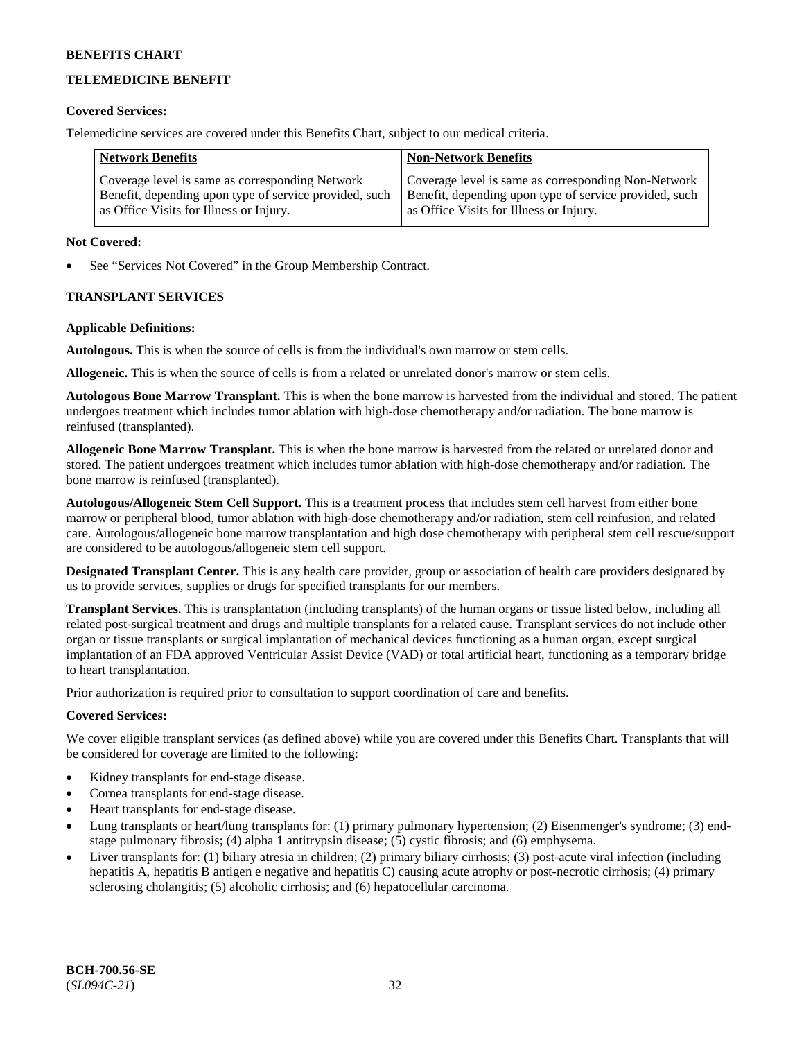## **TELEMEDICINE BENEFIT**

#### **Covered Services:**

Telemedicine services are covered under this Benefits Chart, subject to our medical criteria.

| <b>Network Benefits</b>                                | <b>Non-Network Benefits</b>                            |
|--------------------------------------------------------|--------------------------------------------------------|
| Coverage level is same as corresponding Network        | Coverage level is same as corresponding Non-Network    |
| Benefit, depending upon type of service provided, such | Benefit, depending upon type of service provided, such |
| as Office Visits for Illness or Injury.                | as Office Visits for Illness or Injury.                |

#### **Not Covered:**

See "Services Not Covered" in the Group Membership Contract.

## **TRANSPLANT SERVICES**

#### **Applicable Definitions:**

**Autologous.** This is when the source of cells is from the individual's own marrow or stem cells.

**Allogeneic.** This is when the source of cells is from a related or unrelated donor's marrow or stem cells.

**Autologous Bone Marrow Transplant.** This is when the bone marrow is harvested from the individual and stored. The patient undergoes treatment which includes tumor ablation with high-dose chemotherapy and/or radiation. The bone marrow is reinfused (transplanted).

**Allogeneic Bone Marrow Transplant.** This is when the bone marrow is harvested from the related or unrelated donor and stored. The patient undergoes treatment which includes tumor ablation with high-dose chemotherapy and/or radiation. The bone marrow is reinfused (transplanted).

**Autologous/Allogeneic Stem Cell Support.** This is a treatment process that includes stem cell harvest from either bone marrow or peripheral blood, tumor ablation with high-dose chemotherapy and/or radiation, stem cell reinfusion, and related care. Autologous/allogeneic bone marrow transplantation and high dose chemotherapy with peripheral stem cell rescue/support are considered to be autologous/allogeneic stem cell support.

**Designated Transplant Center.** This is any health care provider, group or association of health care providers designated by us to provide services, supplies or drugs for specified transplants for our members.

**Transplant Services.** This is transplantation (including transplants) of the human organs or tissue listed below, including all related post-surgical treatment and drugs and multiple transplants for a related cause. Transplant services do not include other organ or tissue transplants or surgical implantation of mechanical devices functioning as a human organ, except surgical implantation of an FDA approved Ventricular Assist Device (VAD) or total artificial heart, functioning as a temporary bridge to heart transplantation.

Prior authorization is required prior to consultation to support coordination of care and benefits.

## **Covered Services:**

We cover eligible transplant services (as defined above) while you are covered under this Benefits Chart. Transplants that will be considered for coverage are limited to the following:

- Kidney transplants for end-stage disease.
- Cornea transplants for end-stage disease.
- Heart transplants for end-stage disease.
- Lung transplants or heart/lung transplants for: (1) primary pulmonary hypertension; (2) Eisenmenger's syndrome; (3) endstage pulmonary fibrosis; (4) alpha 1 antitrypsin disease; (5) cystic fibrosis; and (6) emphysema.
- Liver transplants for: (1) biliary atresia in children; (2) primary biliary cirrhosis; (3) post-acute viral infection (including hepatitis A, hepatitis B antigen e negative and hepatitis C) causing acute atrophy or post-necrotic cirrhosis; (4) primary sclerosing cholangitis; (5) alcoholic cirrhosis; and (6) hepatocellular carcinoma.